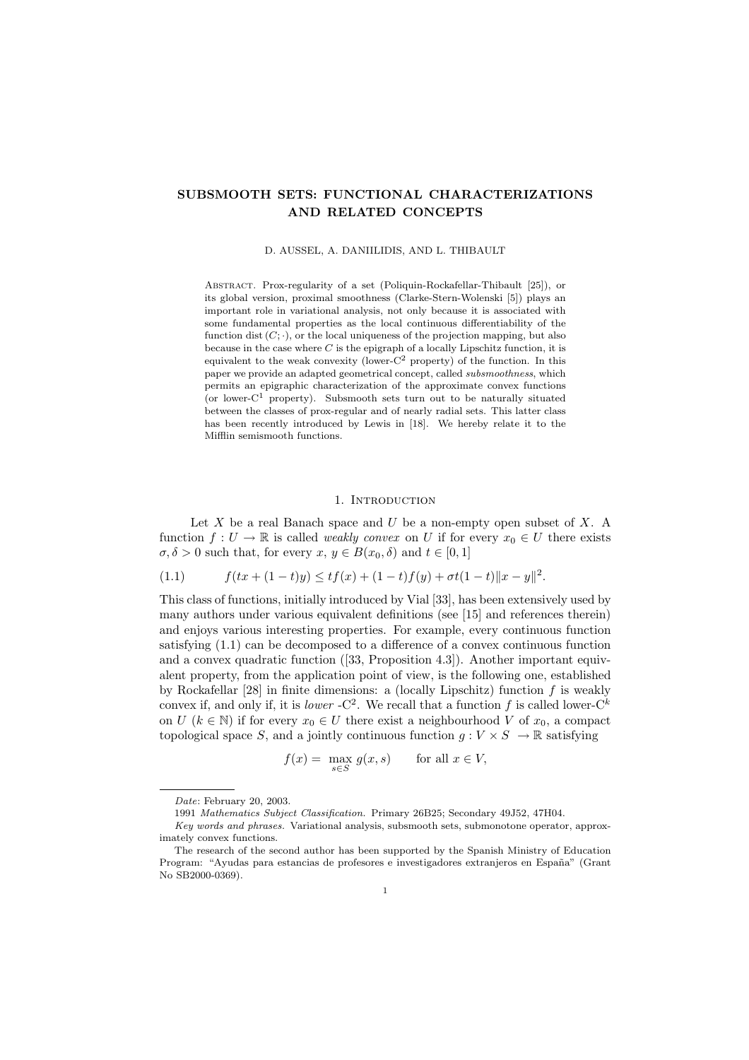# SUBSMOOTH SETS: FUNCTIONAL CHARACTERIZATIONS AND RELATED CONCEPTS

#### D. AUSSEL, A. DANIILIDIS, AND L. THIBAULT

Abstract. Prox-regularity of a set (Poliquin-Rockafellar-Thibault [25]), or its global version, proximal smoothness (Clarke-Stern-Wolenski [5]) plays an important role in variational analysis, not only because it is associated with some fundamental properties as the local continuous differentiability of the function dist  $(C; \cdot)$ , or the local uniqueness of the projection mapping, but also because in the case where  $C$  is the epigraph of a locally Lipschitz function, it is equivalent to the weak convexity (lower- $C<sup>2</sup>$  property) of the function. In this paper we provide an adapted geometrical concept, called subsmoothness, which permits an epigraphic characterization of the approximate convex functions (or lower- $C^1$  property). Subsmooth sets turn out to be naturally situated between the classes of prox-regular and of nearly radial sets. This latter class has been recently introduced by Lewis in [18]. We hereby relate it to the Mifflin semismooth functions.

#### 1. INTRODUCTION

Let  $X$  be a real Banach space and  $U$  be a non-empty open subset of  $X$ . A function  $f: U \to \mathbb{R}$  is called *weakly convex* on U if for every  $x_0 \in U$  there exists  $\sigma, \delta > 0$  such that, for every  $x, y \in B(x_0, \delta)$  and  $t \in [0, 1]$ 

$$
(1.1) \t f(tx+(1-t)y) \le tf(x) + (1-t)f(y) + \sigma t(1-t) \|x-y\|^2.
$$

This class of functions, initially introduced by Vial [33], has been extensively used by many authors under various equivalent definitions (see [15] and references therein) and enjoys various interesting properties. For example, every continuous function satisfying (1.1) can be decomposed to a difference of a convex continuous function and a convex quadratic function ([33, Proposition 4.3]). Another important equivalent property, from the application point of view, is the following one, established by Rockafellar  $[28]$  in finite dimensions: a (locally Lipschitz) function f is weakly convex if, and only if, it is *lower*  $-C^2$ . We recall that a function f is called lower- $C^k$ on U ( $k \in \mathbb{N}$ ) if for every  $x_0 \in U$  there exist a neighbourhood V of  $x_0$ , a compact topological space S, and a jointly continuous function  $q: V \times S \to \mathbb{R}$  satisfying

$$
f(x) = \max_{s \in S} g(x, s) \quad \text{for all } x \in V,
$$

Date: February 20, 2003.

<sup>1991</sup> Mathematics Subject Classification. Primary 26B25; Secondary 49J52, 47H04.

Key words and phrases. Variational analysis, subsmooth sets, submonotone operator, approximately convex functions.

The research of the second author has been supported by the Spanish Ministry of Education Program: "Ayudas para estancias de profesores e investigadores extranjeros en España" (Grant No SB2000-0369).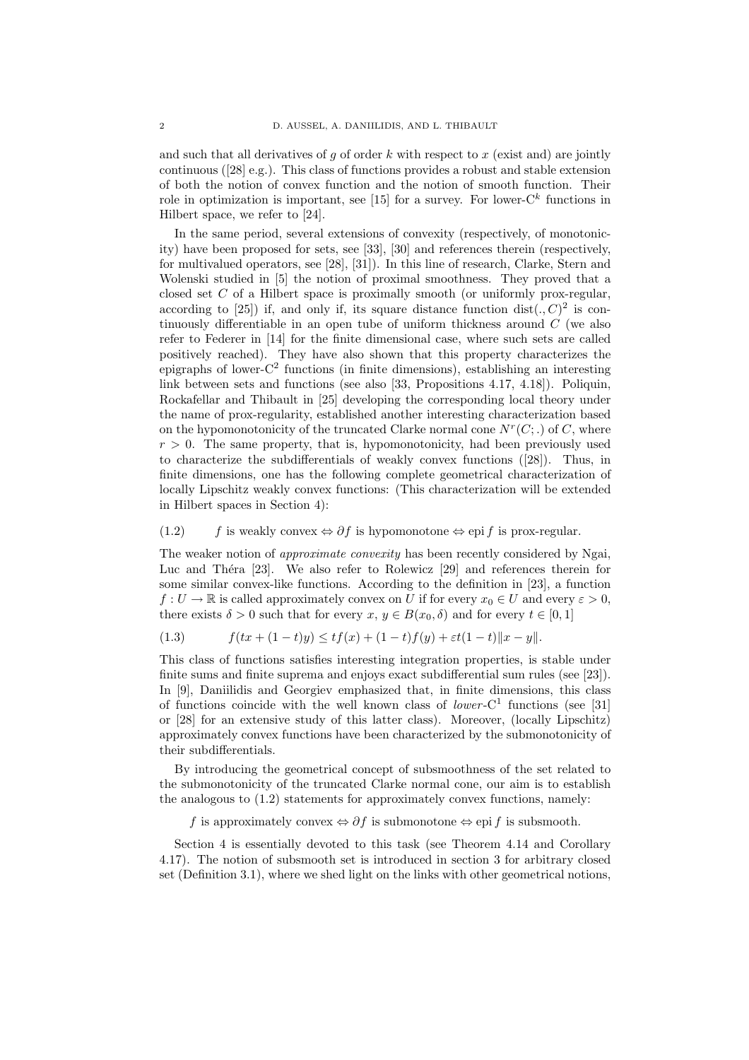and such that all derivatives of q of order  $k$  with respect to  $x$  (exist and) are jointly continuous ([28] e.g.). This class of functions provides a robust and stable extension of both the notion of convex function and the notion of smooth function. Their role in optimization is important, see [15] for a survey. For lower- $C<sup>k</sup>$  functions in Hilbert space, we refer to [24].

In the same period, several extensions of convexity (respectively, of monotonicity) have been proposed for sets, see [33], [30] and references therein (respectively, for multivalued operators, see [28], [31]). In this line of research, Clarke, Stern and Wolenski studied in [5] the notion of proximal smoothness. They proved that a closed set  $C$  of a Hilbert space is proximally smooth (or uniformly prox-regular, according to [25]) if, and only if, its square distance function  $dist(., C)^2$  is continuously differentiable in an open tube of uniform thickness around  $C$  (we also refer to Federer in [14] for the finite dimensional case, where such sets are called positively reached). They have also shown that this property characterizes the epigraphs of lower-C<sup>2</sup> functions (in finite dimensions), establishing an interesting link between sets and functions (see also [33, Propositions 4.17, 4.18]). Poliquin, Rockafellar and Thibault in [25] developing the corresponding local theory under the name of prox-regularity, established another interesting characterization based on the hypomonotonicity of the truncated Clarke normal cone  $N^r(C;.)$  of C, where  $r > 0$ . The same property, that is, hypomonotonicity, had been previously used to characterize the subdifferentials of weakly convex functions ([28]). Thus, in finite dimensions, one has the following complete geometrical characterization of locally Lipschitz weakly convex functions: (This characterization will be extended in Hilbert spaces in Section 4):

# (1.2) f is weakly convex  $\Leftrightarrow \partial f$  is hypomonotone  $\Leftrightarrow$  epi f is prox-regular.

The weaker notion of approximate convexity has been recently considered by Ngai, Luc and Théra [23]. We also refer to Rolewicz [29] and references therein for some similar convex-like functions. According to the definition in [23], a function  $f: U \to \mathbb{R}$  is called approximately convex on U if for every  $x_0 \in U$  and every  $\varepsilon > 0$ , there exists  $\delta > 0$  such that for every  $x, y \in B(x_0, \delta)$  and for every  $t \in [0, 1]$ 

$$
(1.3) \t f(tx+(1-t)y) \le tf(x) + (1-t)f(y) + \varepsilon t(1-t) \|x-y\|.
$$

This class of functions satisfies interesting integration properties, is stable under finite sums and finite suprema and enjoys exact subdifferential sum rules (see [23]). In [9], Daniilidis and Georgiev emphasized that, in finite dimensions, this class of functions coincide with the well known class of *lower*- $C<sup>1</sup>$  functions (see [31] or [28] for an extensive study of this latter class). Moreover, (locally Lipschitz) approximately convex functions have been characterized by the submonotonicity of their subdifferentials.

By introducing the geometrical concept of subsmoothness of the set related to the submonotonicity of the truncated Clarke normal cone, our aim is to establish the analogous to (1.2) statements for approximately convex functions, namely:

f is approximately convex  $\Leftrightarrow \partial f$  is submonotone  $\Leftrightarrow$  epi f is subsmooth.

Section 4 is essentially devoted to this task (see Theorem 4.14 and Corollary 4.17). The notion of subsmooth set is introduced in section 3 for arbitrary closed set (Definition 3.1), where we shed light on the links with other geometrical notions,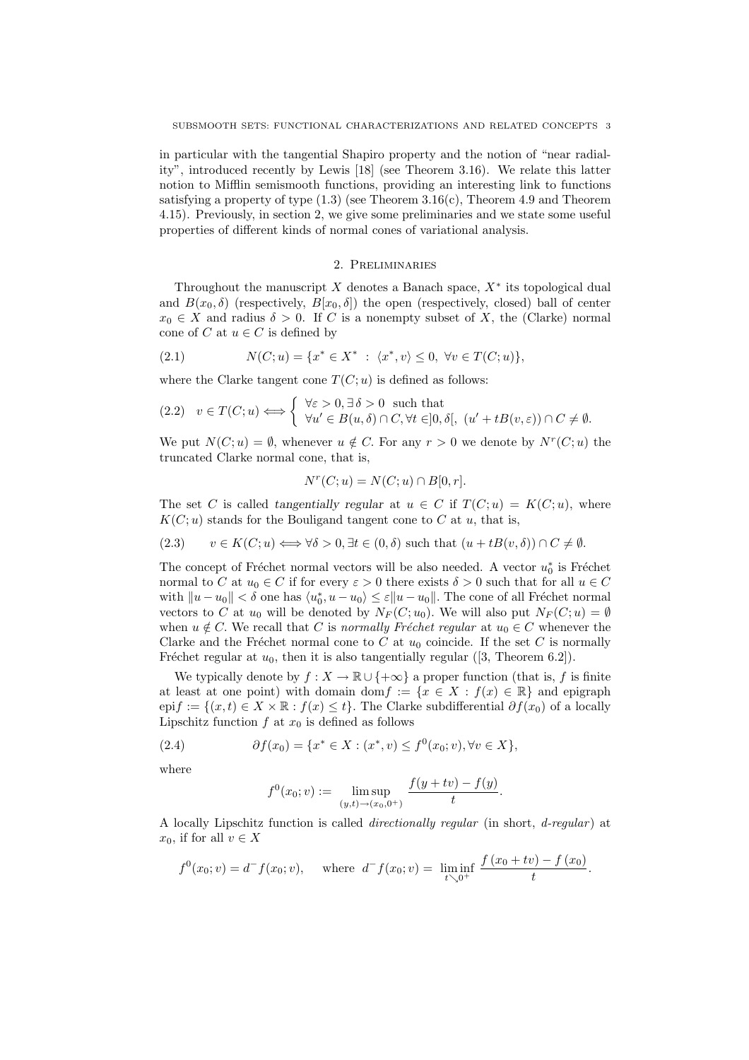in particular with the tangential Shapiro property and the notion of "near radiality", introduced recently by Lewis [18] (see Theorem 3.16). We relate this latter notion to Mifflin semismooth functions, providing an interesting link to functions satisfying a property of type  $(1.3)$  (see Theorem 3.16(c), Theorem 4.9 and Theorem 4.15). Previously, in section 2, we give some preliminaries and we state some useful properties of different kinds of normal cones of variational analysis.

# 2. Preliminaries

Throughout the manuscript  $X$  denotes a Banach space,  $X^*$  its topological dual and  $B(x_0, \delta)$  (respectively,  $B[x_0, \delta]$ ) the open (respectively, closed) ball of center  $x_0 \in X$  and radius  $\delta > 0$ . If C is a nonempty subset of X, the (Clarke) normal cone of C at  $u \in C$  is defined by

(2.1) 
$$
N(C; u) = \{x^* \in X^* : \langle x^*, v \rangle \le 0, \ \forall v \in T(C; u)\},
$$

where the Clarke tangent cone  $T(C; u)$  is defined as follows:

$$
(2.2) \quad v \in T(C; u) \Longleftrightarrow \left\{ \begin{array}{l} \forall \varepsilon > 0, \exists \, \delta > 0 \text{ such that} \\ \forall u' \in B(u, \delta) \cap C, \forall t \in ]0, \delta[, \ (u' + tB(v, \varepsilon)) \cap C \neq \emptyset. \end{array} \right.
$$

We put  $N(C; u) = \emptyset$ , whenever  $u \notin C$ . For any  $r > 0$  we denote by  $N^{r}(C; u)$  the truncated Clarke normal cone, that is,

$$
N^r(C; u) = N(C; u) \cap B[0, r].
$$

The set C is called tangentially regular at  $u \in C$  if  $T(C; u) = K(C; u)$ , where  $K(C; u)$  stands for the Bouligand tangent cone to C at u, that is,

(2.3) 
$$
v \in K(C; u) \Longleftrightarrow \forall \delta > 0, \exists t \in (0, \delta)
$$
 such that  $(u + tB(v, \delta)) \cap C \neq \emptyset$ .

The concept of Fréchet normal vectors will be also needed. A vector  $u_0^*$  is Fréchet normal to C at  $u_0 \in C$  if for every  $\varepsilon > 0$  there exists  $\delta > 0$  such that for all  $u \in C$ with  $||u - u_0|| < \delta$  one has  $\langle u_0^*, u - u_0 \rangle \leq \varepsilon ||u - u_0||$ . The cone of all Fréchet normal vectors to C at  $u_0$  will be denoted by  $N_F(C; u_0)$ . We will also put  $N_F(C; u) = \emptyset$ when  $u \notin C$ . We recall that C is normally Fréchet regular at  $u_0 \in C$  whenever the Clarke and the Fréchet normal cone to C at  $u_0$  coincide. If the set C is normally Fréchet regular at  $u_0$ , then it is also tangentially regular ([3, Theorem 6.2]).

We typically denote by  $f : X \to \mathbb{R} \cup \{+\infty\}$  a proper function (that is, f is finite at least at one point) with domain dom  $f := \{x \in X : f(x) \in \mathbb{R}\}\$ and epigraph epif :=  $\{(x,t) \in X \times \mathbb{R} : f(x) \leq t\}$ . The Clarke subdifferential  $\partial f(x_0)$  of a locally Lipschitz function  $f$  at  $x_0$  is defined as follows

(2.4) 
$$
\partial f(x_0) = \{x^* \in X : (x^*, v) \le f^0(x_0; v), \forall v \in X\},
$$

where

$$
f^{0}(x_{0}; v) := \limsup_{(y,t)\to(x_{0}, 0^{+})} \frac{f(y+tv)-f(y)}{t}.
$$

A locally Lipschitz function is called directionally regular (in short, d-regular ) at  $x_0$ , if for all  $v \in X$ 

$$
f^{0}(x_{0}; v) = d^{-} f(x_{0}; v),
$$
 where  $d^{-} f(x_{0}; v) = \liminf_{t \searrow 0^{+}} \frac{f(x_{0} + tv) - f(x_{0})}{t}.$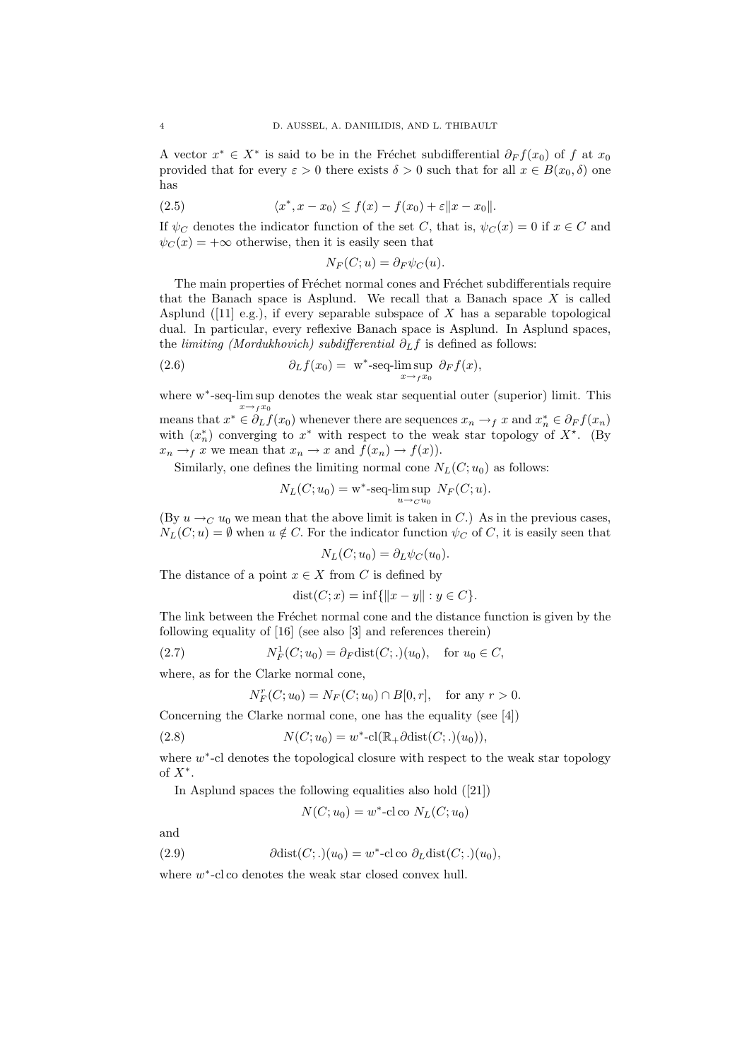A vector  $x^* \in X^*$  is said to be in the Fréchet subdifferential  $\partial_F f(x_0)$  of f at  $x_0$ provided that for every  $\varepsilon > 0$  there exists  $\delta > 0$  such that for all  $x \in B(x_0, \delta)$  one has

(2.5) 
$$
\langle x^*, x - x_0 \rangle \le f(x) - f(x_0) + \varepsilon ||x - x_0||.
$$

If  $\psi_C$  denotes the indicator function of the set C, that is,  $\psi_C(x) = 0$  if  $x \in C$  and  $\psi_C(x) = +\infty$  otherwise, then it is easily seen that

$$
N_F(C; u) = \partial_F \psi_C(u).
$$

The main properties of Fréchet normal cones and Fréchet subdifferentials require that the Banach space is Asplund. We recall that a Banach space  $X$  is called Asplund ([11] e.g.), if every separable subspace of X has a separable topological dual. In particular, every reflexive Banach space is Asplund. In Asplund spaces, the *limiting (Mordukhovich) subdifferential*  $\partial_L f$  is defined as follows:

(2.6) 
$$
\partial_L f(x_0) = \mathbf{w}^* \text{-}\mathbf{seq}\text{-}\limsup_{x \to f(x_0)} \partial_F f(x),
$$

where w<sup>∗</sup> -seq-lim sup denotes the weak star sequential outer (superior) limit. This  $x \rightarrow f x_0$ 

means that  $x^* \in \partial_L f(x_0)$  whenever there are sequences  $x_n \to_f x$  and  $x_n^* \in \partial_F f(x_n)$ with  $(x_n^*)$  converging to  $x^*$  with respect to the weak star topology of  $X^*$ . (By  $x_n \rightarrow_f x$  we mean that  $x_n \rightarrow x$  and  $f(x_n) \rightarrow f(x)$ .

Similarly, one defines the limiting normal cone  $N_L(C; u_0)$  as follows:

$$
N_L(C; u_0) = \mathbf{w}^* \text{-}\mathbf{seq}\text{-}\limsup_{u \to c u_0} N_F(C; u).
$$

(By  $u \rightarrow_C u_0$  we mean that the above limit is taken in C.) As in the previous cases,  $N_L(C; u) = \emptyset$  when  $u \notin C$ . For the indicator function  $\psi_C$  of C, it is easily seen that

$$
N_L(C; u_0) = \partial_L \psi_C(u_0).
$$

The distance of a point  $x \in X$  from C is defined by

$$
dist(C; x) = inf{||x - y|| : y \in C}.
$$

The link between the Fréchet normal cone and the distance function is given by the following equality of [16] (see also [3] and references therein)

(2.7) 
$$
N_F^1(C; u_0) = \partial_F \text{dist}(C;.)(u_0), \text{ for } u_0 \in C,
$$

where, as for the Clarke normal cone,

$$
N_F^r(C; u_0) = N_F(C; u_0) \cap B[0, r], \text{ for any } r > 0.
$$

Concerning the Clarke normal cone, one has the equality (see [4])

(2.8) 
$$
N(C; u_0) = w^* \text{-} \text{cl}(\mathbb{R}_+ \partial \text{dist}(C;.) (u_0)),
$$

where  $w^*$ -cl denotes the topological closure with respect to the weak star topology of  $X^*$ .

In Asplund spaces the following equalities also hold ([21])

$$
N(C; u_0) = w^* \text{-clco } N_L(C; u_0)
$$

and

(2.9) 
$$
\partial \text{dist}(C;.)(u_0) = w^* \text{-clco } \partial_L \text{dist}(C;.)(u_0),
$$

where  $w^*$ -cl co denotes the weak star closed convex hull.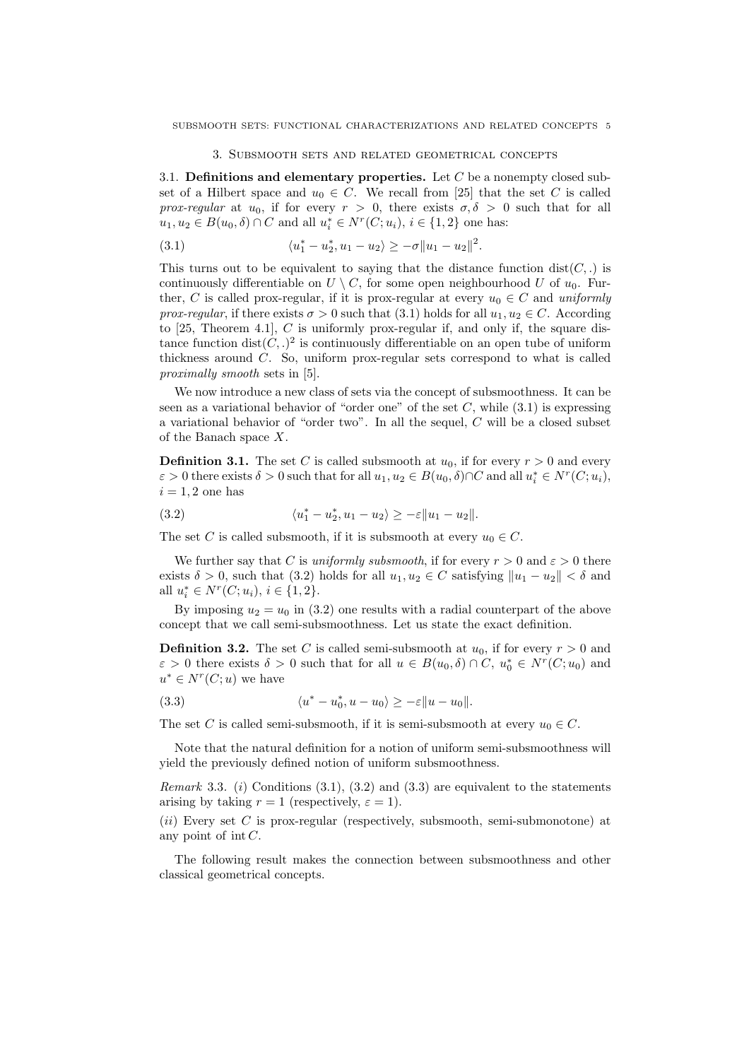#### 3. Subsmooth sets and related geometrical concepts

3.1. Definitions and elementary properties. Let  $C$  be a nonempty closed subset of a Hilbert space and  $u_0 \in C$ . We recall from [25] that the set C is called prox-regular at  $u_0$ , if for every  $r > 0$ , there exists  $\sigma, \delta > 0$  such that for all  $u_1, u_2 \in B(u_0, \delta) \cap C$  and all  $u_i^* \in N^r(C; u_i), i \in \{1, 2\}$  one has:

(3.1) 
$$
\langle u_1^* - u_2^*, u_1 - u_2 \rangle \ge -\sigma \|u_1 - u_2\|^2.
$$

This turns out to be equivalent to saying that the distance function  $dist(C,.)$  is continuously differentiable on  $U \setminus C$ , for some open neighbourhood U of  $u_0$ . Further, C is called prox-regular, if it is prox-regular at every  $u_0 \in C$  and uniformly prox-regular, if there exists  $\sigma > 0$  such that (3.1) holds for all  $u_1, u_2 \in C$ . According to [25, Theorem 4.1],  $C$  is uniformly prox-regular if, and only if, the square distance function  $dist(C,.)^2$  is continuously differentiable on an open tube of uniform thickness around C. So, uniform prox-regular sets correspond to what is called proximally smooth sets in [5].

We now introduce a new class of sets via the concept of subsmoothness. It can be seen as a variational behavior of "order one" of the set  $C$ , while  $(3.1)$  is expressing a variational behavior of "order two". In all the sequel, C will be a closed subset of the Banach space X.

**Definition 3.1.** The set C is called subsmooth at  $u_0$ , if for every  $r > 0$  and every  $\varepsilon > 0$  there exists  $\delta > 0$  such that for all  $u_1, u_2 \in B(u_0, \delta) \cap C$  and all  $u_i^* \in N^r(C; u_i)$ ,  $i = 1, 2$  one has

(3.2) 
$$
\langle u_1^* - u_2^*, u_1 - u_2 \rangle \ge -\varepsilon ||u_1 - u_2||.
$$

The set C is called subsmooth, if it is subsmooth at every  $u_0 \in C$ .

We further say that C is uniformly subsmooth, if for every  $r > 0$  and  $\varepsilon > 0$  there exists  $\delta > 0$ , such that (3.2) holds for all  $u_1, u_2 \in C$  satisfying  $||u_1 - u_2|| < \delta$  and all  $u_i^* \in N^r(C; u_i), i \in \{1, 2\}.$ 

By imposing  $u_2 = u_0$  in (3.2) one results with a radial counterpart of the above concept that we call semi-subsmoothness. Let us state the exact definition.

**Definition 3.2.** The set C is called semi-subsmooth at  $u_0$ , if for every  $r > 0$  and  $\varepsilon > 0$  there exists  $\delta > 0$  such that for all  $u \in B(u_0, \delta) \cap C$ ,  $u_0^* \in N^r(C; u_0)$  and  $u^* \in N^r(C; u)$  we have

(3.3) 
$$
\langle u^* - u_0^*, u - u_0 \rangle \ge -\varepsilon \|u - u_0\|.
$$

The set C is called semi-subsmooth, if it is semi-subsmooth at every  $u_0 \in C$ .

Note that the natural definition for a notion of uniform semi-subsmoothness will yield the previously defined notion of uniform subsmoothness.

*Remark* 3.3. (*i*) Conditions  $(3.1)$ ,  $(3.2)$  and  $(3.3)$  are equivalent to the statements arising by taking  $r = 1$  (respectively,  $\varepsilon = 1$ ).

 $(ii)$  Every set C is prox-regular (respectively, subsmooth, semi-submonotone) at any point of int  $C$ .

The following result makes the connection between subsmoothness and other classical geometrical concepts.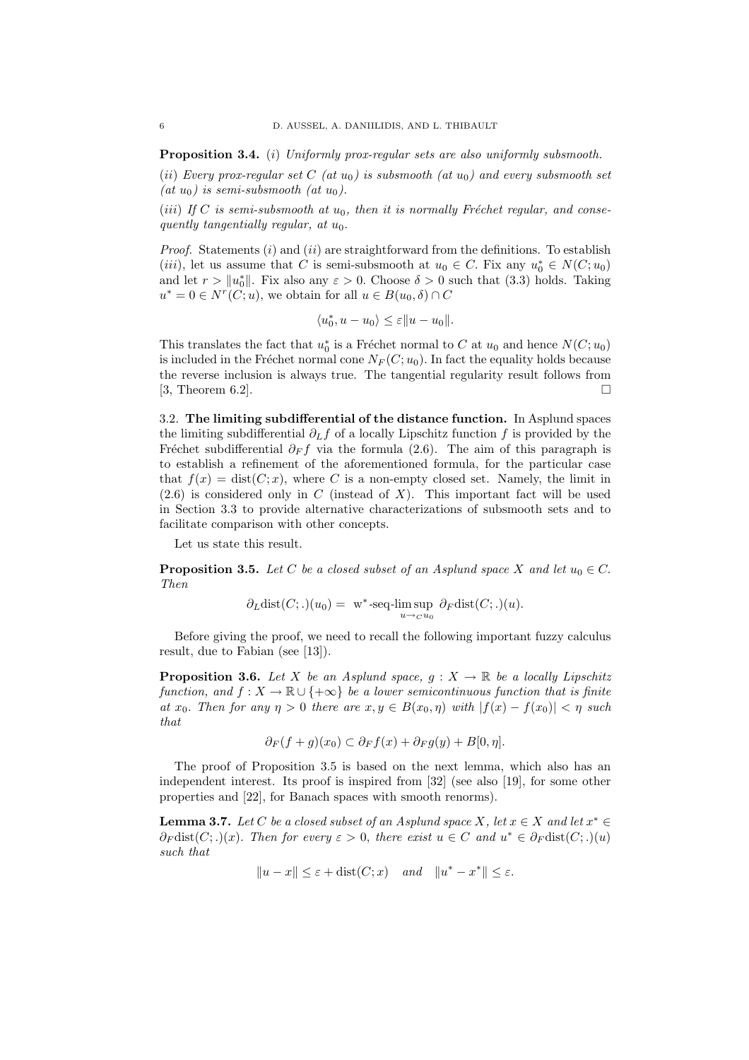Proposition 3.4. (i) Uniformly prox-regular sets are also uniformly subsmooth.

(ii) Every prox-regular set C (at  $u_0$ ) is subsmooth (at  $u_0$ ) and every subsmooth set (at  $u_0$ ) is semi-subsmooth (at  $u_0$ ).

(iii) If C is semi-subsmooth at  $u_0$ , then it is normally Fréchet regular, and consequently tangentially regular, at  $u_0$ .

*Proof.* Statements (i) and (ii) are straightforward from the definitions. To establish (*iii*), let us assume that C is semi-subsmooth at  $u_0 \in C$ . Fix any  $u_0^* \in N(C; u_0)$ and let  $r > ||u_0^*||$ . Fix also any  $\varepsilon > 0$ . Choose  $\delta > 0$  such that (3.3) holds. Taking  $u^* = 0 \in N^r(C; u)$ , we obtain for all  $u \in B(u_0, \delta) \cap C$ 

$$
\langle u_0^*, u - u_0 \rangle \le \varepsilon ||u - u_0||.
$$

This translates the fact that  $u_0^*$  is a Fréchet normal to C at  $u_0$  and hence  $N(C; u_0)$ is included in the Fréchet normal cone  $N_F(C; u_0)$ . In fact the equality holds because the reverse inclusion is always true. The tangential regularity result follows from [3, Theorem 6.2].  $\Box$ 

3.2. The limiting subdifferential of the distance function. In Asplund spaces the limiting subdifferential  $\partial_L f$  of a locally Lipschitz function f is provided by the Fréchet subdifferential  $\partial_F f$  via the formula (2.6). The aim of this paragraph is to establish a refinement of the aforementioned formula, for the particular case that  $f(x) = \text{dist}(C; x)$ , where C is a non-empty closed set. Namely, the limit in  $(2.6)$  is considered only in C (instead of X). This important fact will be used in Section 3.3 to provide alternative characterizations of subsmooth sets and to facilitate comparison with other concepts.

Let us state this result.

**Proposition 3.5.** Let C be a closed subset of an Asplund space X and let  $u_0 \in C$ . Then

$$
\partial_L \text{dist}(C;.) (u_0) = \mathbf{w}^* \text{-seq-lim} \sup_{u \to c u_0} \partial_F \text{dist}(C;.) (u).
$$

Before giving the proof, we need to recall the following important fuzzy calculus result, due to Fabian (see [13]).

**Proposition 3.6.** Let X be an Asplund space,  $g: X \to \mathbb{R}$  be a locally Lipschitz function, and  $f: X \to \mathbb{R} \cup \{+\infty\}$  be a lower semicontinuous function that is finite at  $x_0$ . Then for any  $\eta > 0$  there are  $x, y \in B(x_0, \eta)$  with  $|f(x) - f(x_0)| < \eta$  such that

$$
\partial_F(f+g)(x_0) \subset \partial_F f(x) + \partial_F g(y) + B[0, \eta].
$$

The proof of Proposition 3.5 is based on the next lemma, which also has an independent interest. Its proof is inspired from [32] (see also [19], for some other properties and [22], for Banach spaces with smooth renorms).

**Lemma 3.7.** Let C be a closed subset of an Asplund space X, let  $x \in X$  and let  $x^* \in Y$  $\partial_F \text{dist}(C;.)(x)$ . Then for every  $\varepsilon > 0$ , there exist  $u \in C$  and  $u^* \in \partial_F \text{dist}(C;.)(u)$ such that

$$
||u - x|| \le \varepsilon + \text{dist}(C; x) \quad and \quad ||u^* - x^*|| \le \varepsilon.
$$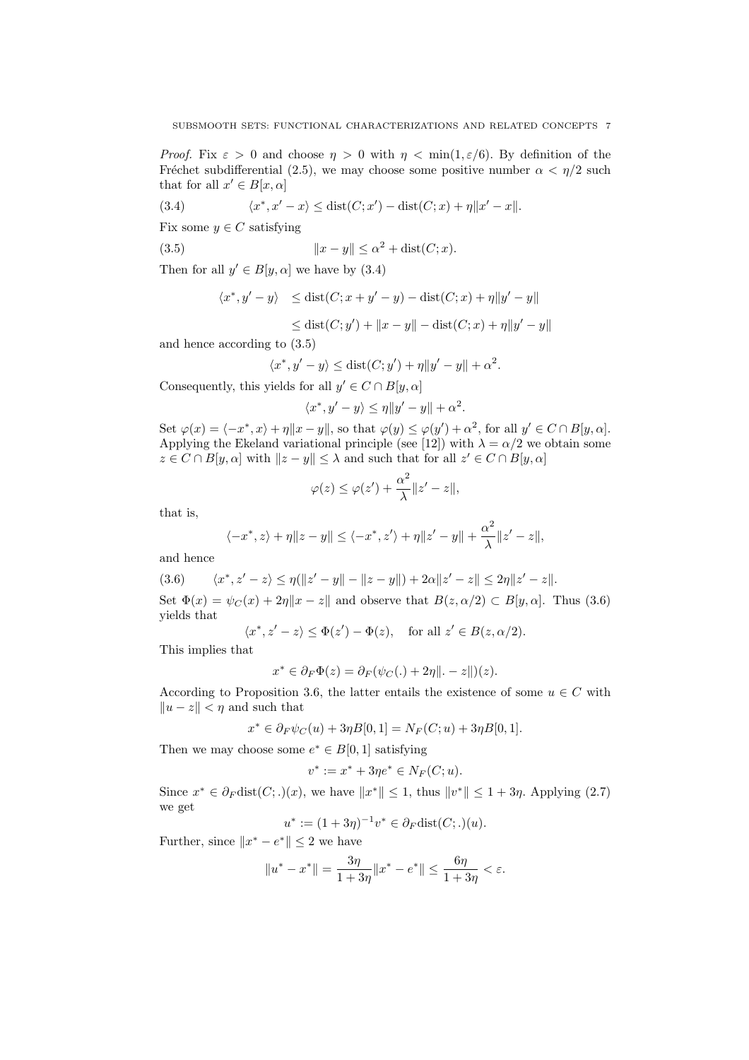*Proof.* Fix  $\varepsilon > 0$  and choose  $\eta > 0$  with  $\eta < \min(1, \varepsilon/6)$ . By definition of the Fréchet subdifferential (2.5), we may choose some positive number  $\alpha < \eta/2$  such that for all  $x' \in B[x, \alpha]$ 

(3.4) 
$$
\langle x^*, x' - x \rangle \leq \text{dist}(C; x') - \text{dist}(C; x) + \eta ||x' - x||.
$$

Fix some  $y \in C$  satisfying

(3.5) 
$$
||x - y|| \le \alpha^2 + \text{dist}(C; x).
$$

Then for all  $y' \in B[y, \alpha]$  we have by  $(3.4)$ 

$$
\langle x^*, y'-y \rangle \leq \text{dist}(C; x+y'-y) - \text{dist}(C; x) + \eta \|y'-y\|
$$

$$
\leq \text{dist}(C; y') + ||x - y|| - \text{dist}(C; x) + \eta ||y' - y||
$$

and hence according to (3.5)

$$
\langle x^*, y'-y \rangle \leq \text{dist}(C; y') + \eta \|y'-y\| + \alpha^2.
$$

Consequently, this yields for all  $y' \in C \cap B[y, \alpha]$ 

$$
\langle x^*, y'-y \rangle \le \eta \|y'-y\| + \alpha^2.
$$

Set  $\varphi(x) = \langle -x^*, x \rangle + \eta \|x - y\|$ , so that  $\varphi(y) \leq \varphi(y') + \alpha^2$ , for all  $y' \in C \cap B[y, \alpha]$ . Applying the Ekeland variational principle (see [12]) with  $\lambda = \alpha/2$  we obtain some  $z \in C \cap B[y, \alpha]$  with  $||z - y|| \leq \lambda$  and such that for all  $z' \in C \cap B[y, \alpha]$ 

$$
\varphi(z) \le \varphi(z') + \frac{\alpha^2}{\lambda} ||z' - z||,
$$

that is,

$$
\langle -x^*, z \rangle + \eta \|z - y\| \le \langle -x^*, z' \rangle + \eta \|z' - y\| + \frac{\alpha^2}{\lambda} \|z' - z\|,
$$

and hence

 $(3.6)$ \*, z' - z)  $\leq \eta(\|z'-y\| - \|z-y\|) + 2\alpha \|z'-z\| \leq 2\eta \|z'-z\|.$ Set  $\Phi(x) = \psi_C(x) + 2\eta \|x - z\|$  and observe that  $B(z, \alpha/2) \subset B[y, \alpha]$ . Thus (3.6) yields that

$$
\langle x^*, z'-z\rangle \le \Phi(z') - \Phi(z), \quad \text{for all } z' \in B(z, \alpha/2).
$$

This implies that

$$
x^* \in \partial_F \Phi(z) = \partial_F(\psi_C(.) + 2\eta \|.-z\|)(z).
$$

According to Proposition 3.6, the latter entails the existence of some  $u \in C$  with  $||u - z|| < \eta$  and such that

$$
x^* \in \partial_F \psi_C(u) + 3\eta B[0,1] = N_F(C; u) + 3\eta B[0,1].
$$

Then we may choose some  $e^* \in B[0,1]$  satisfying

$$
v^* := x^* + 3\eta e^* \in N_F(C; u).
$$

Since  $x^* \in \partial_F \text{dist}(C;.)(x)$ , we have  $||x^*|| \leq 1$ , thus  $||v^*|| \leq 1 + 3\eta$ . Applying (2.7) we get

$$
u^* := (1 + 3\eta)^{-1} v^* \in \partial_F \text{dist}(C;.) (u).
$$

Further, since  $||x^* - e^*|| \leq 2$  we have

$$
\|u^*-x^*\|=\frac{3\eta}{1+3\eta}\|x^*-e^*\|\leq \frac{6\eta}{1+3\eta}<\varepsilon.
$$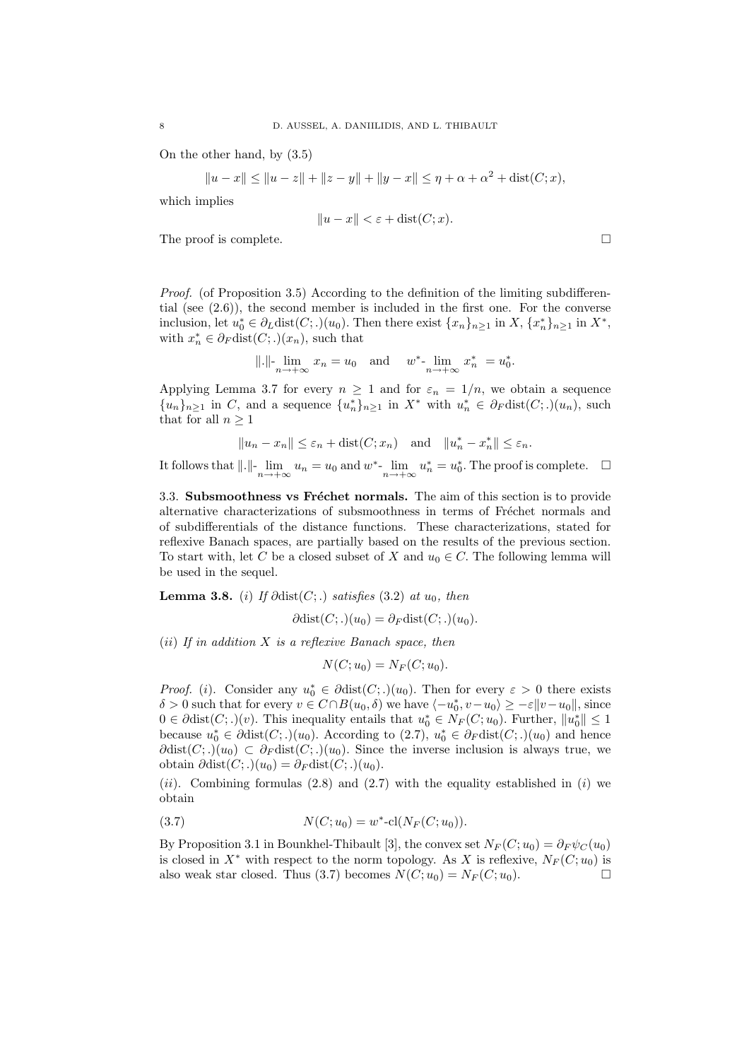On the other hand, by (3.5)

$$
||u - x|| \le ||u - z|| + ||z - y|| + ||y - x|| \le \eta + \alpha + \alpha^{2} + \text{dist}(C; x),
$$

which implies

$$
||u - x|| < \varepsilon + \text{dist}(C; x).
$$

The proof is complete.  $\Box$ 

Proof. (of Proposition 3.5) According to the definition of the limiting subdifferential (see  $(2.6)$ ), the second member is included in the first one. For the converse inclusion, let  $u_0^* \in \partial_L \text{dist}(C;.)(u_0)$ . Then there exist  $\{x_n\}_{n\geq 1}$  in  $X, \{x_n^*\}_{n\geq 1}$  in  $X^*$ , with  $x_n^* \in \partial_F \text{dist}(C;.)(x_n)$ , such that

$$
\|.\|_{\cdot} \lim_{n \to +\infty} x_n = u_0
$$
 and  $w^*_{\cdot} \lim_{n \to +\infty} x_n^* = u_0^*$ .

Applying Lemma 3.7 for every  $n \geq 1$  and for  $\varepsilon_n = 1/n$ , we obtain a sequence  ${u_n}_{n \geq 1}$  in C, and a sequence  ${u_n^*}_{n \geq 1}$  in  $X^*$  with  $u_n^* \in \partial_F \text{dist}(C;.)(u_n)$ , such that for all  $n \geq 1$ 

$$
||u_n - x_n|| \le \varepsilon_n + \text{dist}(C; x_n)
$$
 and  $||u_n^* - x_n^*|| \le \varepsilon_n$ .

It follows that  $\|\cdot\|$ -  $\lim_{n\to+\infty} u_n = u_0$  and  $w^*$ -  $\lim_{n\to+\infty} u_n^* = u_0^*$ . The proof is complete.  $\Box$ 

3.3. Subsmoothness vs Fréchet normals. The aim of this section is to provide alternative characterizations of subsmoothness in terms of Fréchet normals and of subdifferentials of the distance functions. These characterizations, stated for reflexive Banach spaces, are partially based on the results of the previous section. To start with, let C be a closed subset of X and  $u_0 \in C$ . The following lemma will be used in the sequel.

**Lemma 3.8.** (i) If  $\partial \text{dist}(C;.)$  satisfies (3.2) at  $u_0$ , then

$$
\partial \text{dist}(C;.)(u_0) = \partial_F \text{dist}(C;.)(u_0).
$$

(ii) If in addition  $X$  is a reflexive Banach space, then

$$
N(C; u_0) = N_F(C; u_0).
$$

*Proof.* (*i*). Consider any  $u_0^* \in \partial \text{dist}(C;.)(u_0)$ . Then for every  $\varepsilon > 0$  there exists  $\delta > 0$  such that for every  $v \in C \cap B(u_0, \delta)$  we have  $\langle -u_0^*, v-u_0 \rangle \geq -\varepsilon ||v-u_0||$ , since  $0 \in \partial \text{dist}(C;.)(\nu)$ . This inequality entails that  $u_0^* \in N_F(C; u_0)$ . Further,  $||u_0^*|| \leq 1$ because  $u_0^* \in \partial \text{dist}(C;.)(u_0)$ . According to  $(2.7)$ ,  $u_0^* \in \partial_F \text{dist}(C;.)(u_0)$  and hence  $\partial \text{dist}(C;.)(u_0) \subset \partial_F \text{dist}(C;.)(u_0)$ . Since the inverse inclusion is always true, we obtain  $\partial \text{dist}(C;.)(u_0) = \partial_F \text{dist}(C;.)(u_0)$ .

(ii). Combining formulas (2.8) and (2.7) with the equality established in (i) we obtain

(3.7) 
$$
N(C; u_0) = w^* \text{-} \text{cl}(N_F(C; u_0)).
$$

By Proposition 3.1 in Bounkhel-Thibault [3], the convex set  $N_F(C; u_0) = \partial_F \psi_C(u_0)$ is closed in  $X^*$  with respect to the norm topology. As X is reflexive,  $N_F(C; u_0)$  is also weak star closed. Thus (3.7) becomes  $N(C; u_0) = N_F(C; u_0)$ .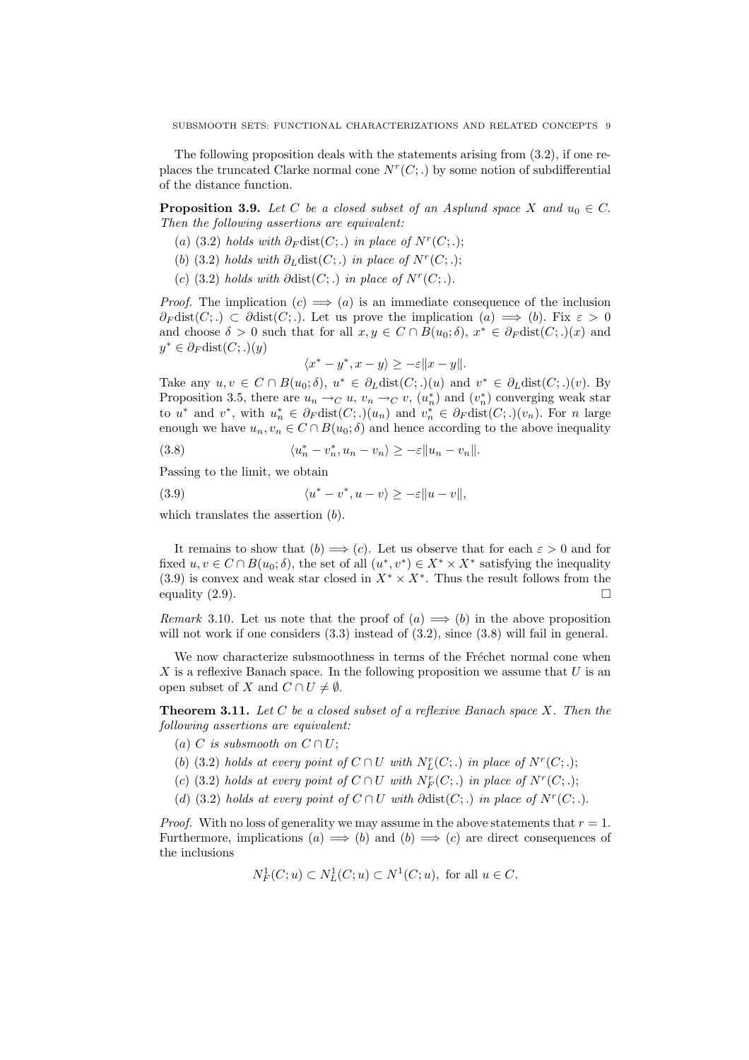The following proposition deals with the statements arising from (3.2), if one replaces the truncated Clarke normal cone  $N^r(C;.)$  by some notion of subdifferential of the distance function.

**Proposition 3.9.** Let C be a closed subset of an Asplund space X and  $u_0 \in C$ . Then the following assertions are equivalent:

- (a) (3.2) holds with  $\partial_F \text{dist}(C;.)$  in place of  $N^r(C;.)$ ;
- (b) (3.2) holds with  $\partial_L \text{dist}(C;.)$  in place of  $N^r(C;.)$ ;
- (c) (3.2) holds with  $\partial \text{dist}(C;.)$  in place of  $N^r(C;.)$ .

*Proof.* The implication  $(c) \implies (a)$  is an immediate consequence of the inclusion  $\partial_F \text{dist}(C;.) \subset \partial \text{dist}(C;.)$ . Let us prove the implication  $(a) \implies (b)$ . Fix  $\varepsilon > 0$ and choose  $\delta > 0$  such that for all  $x, y \in C \cap B(u_0; \delta), x^* \in \partial_F \text{dist}(C;.)(x)$  and  $y^* \in \partial_F \text{dist}(C;.)(y)$ 

$$
\langle x^* - y^*, x - y \rangle \ge -\varepsilon ||x - y||.
$$

Take any  $u, v \in C \cap B(u_0; \delta), u^* \in \partial_L \text{dist}(C;.)(u)$  and  $v^* \in \partial_L \text{dist}(C;.)(v)$ . By Proposition 3.5, there are  $u_n \to_C u$ ,  $v_n \to_C v$ ,  $(u_n^*)$  and  $(v_n^*)$  converging weak star to  $u^*$  and  $v^*$ , with  $u_n^* \in \partial_F \text{dist}(C;.)(u_n)$  and  $v_n^* \in \partial_F \text{dist}(C;.)(v_n)$ . For n large enough we have  $u_n, v_n \in C \cap B(u_0; \delta)$  and hence according to the above inequality

(3.8) 
$$
\langle u_n^* - v_n^*, u_n - v_n \rangle \ge -\varepsilon \|u_n - v_n\|.
$$

Passing to the limit, we obtain

(3.9) 
$$
\langle u^* - v^*, u - v \rangle \ge -\varepsilon \|u - v\|,
$$

which translates the assertion  $(b)$ .

It remains to show that  $(b) \implies (c)$ . Let us observe that for each  $\varepsilon > 0$  and for fixed  $u, v \in C \cap B(u_0; \delta)$ , the set of all  $(u^*, v^*) \in X^* \times X^*$  satisfying the inequality (3.9) is convex and weak star closed in  $X^* \times X^*$ . Thus the result follows from the equality  $(2.9)$ .

*Remark* 3.10. Let us note that the proof of  $(a) \implies (b)$  in the above proposition will not work if one considers  $(3.3)$  instead of  $(3.2)$ , since  $(3.8)$  will fail in general.

We now characterize subsmoothness in terms of the Fréchet normal cone when X is a reflexive Banach space. In the following proposition we assume that  $U$  is an open subset of X and  $C \cap U \neq \emptyset$ .

**Theorem 3.11.** Let  $C$  be a closed subset of a reflexive Banach space  $X$ . Then the following assertions are equivalent:

- (a) C is subsmooth on  $C \cap U$ ;
- (b) (3.2) holds at every point of  $C \cap U$  with  $N_L^r(C;.)$  in place of  $N^r(C;.)$ ;
- (c) (3.2) holds at every point of  $C \cap U$  with  $N_F^r(C;.)$  in place of  $N^r(C;.)$ ;
- (d) (3.2) holds at every point of  $C \cap U$  with  $\partial \text{dist}(C;.)$  in place of  $N^r(C;.)$ .

*Proof.* With no loss of generality we may assume in the above statements that  $r = 1$ . Furthermore, implications (a)  $\implies$  (b) and (b)  $\implies$  (c) are direct consequences of the inclusions

$$
N_F^1(C; u) \subset N_L^1(C; u) \subset N^1(C; u)
$$
, for all  $u \in C$ .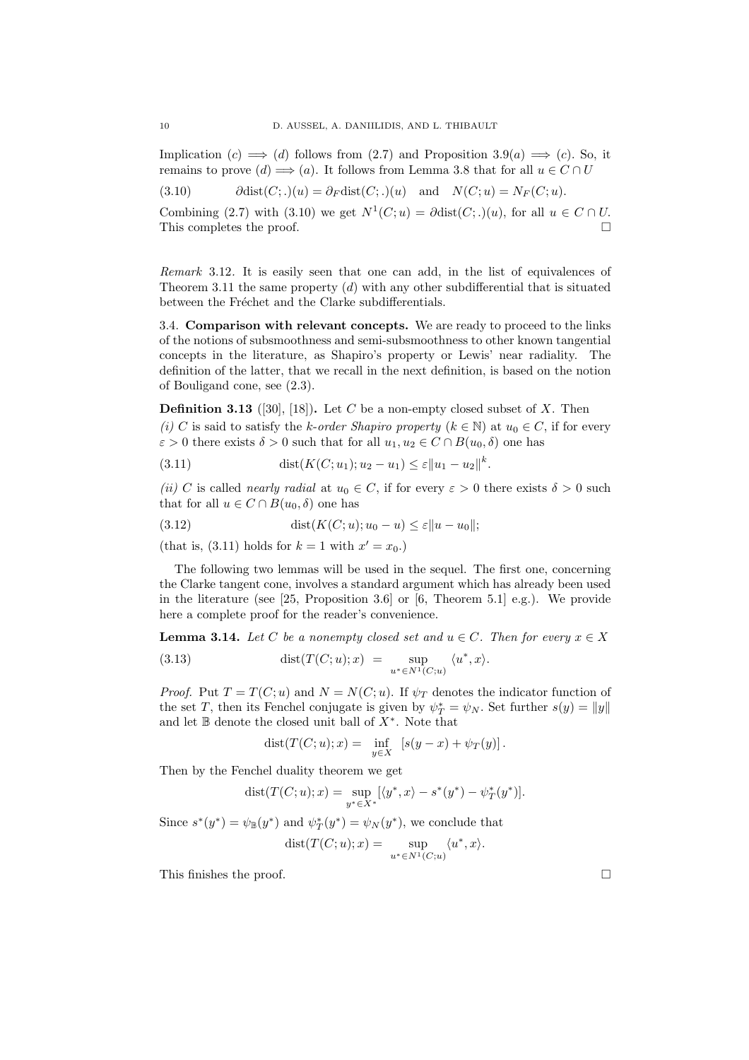Implication  $(c) \implies (d)$  follows from (2.7) and Proposition 3.9(a)  $\implies (c)$ . So, it remains to prove  $(d) \implies (a)$ . It follows from Lemma 3.8 that for all  $u \in C \cap U$ 

(3.10) 
$$
\partial \text{dist}(C;.)(u) = \partial_F \text{dist}(C;.)(u) \text{ and } N(C;u) = N_F(C;u).
$$

Combining (2.7) with (3.10) we get  $N^1(C; u) = \partial \text{dist}(C; u)$ , for all  $u \in C \cap U$ . This completes the proof.  $\Box$ 

Remark 3.12. It is easily seen that one can add, in the list of equivalences of Theorem 3.11 the same property  $(d)$  with any other subdifferential that is situated between the Fréchet and the Clarke subdifferentials.

3.4. Comparison with relevant concepts. We are ready to proceed to the links of the notions of subsmoothness and semi-subsmoothness to other known tangential concepts in the literature, as Shapiro's property or Lewis' near radiality. The definition of the latter, that we recall in the next definition, is based on the notion of Bouligand cone, see (2.3).

**Definition 3.13** ([30], [18]). Let C be a non-empty closed subset of X. Then (i) C is said to satisfy the k-order Shapiro property ( $k \in \mathbb{N}$ ) at  $u_0 \in C$ , if for every

 $\varepsilon > 0$  there exists  $\delta > 0$  such that for all  $u_1, u_2 \in C \cap B(u_0, \delta)$  one has

(3.11) 
$$
\text{dist}(K(C; u_1); u_2 - u_1) \le \varepsilon ||u_1 - u_2||^k.
$$

(ii) C is called *nearly radial* at  $u_0 \in C$ , if for every  $\varepsilon > 0$  there exists  $\delta > 0$  such that for all  $u \in C \cap B(u_0, \delta)$  one has

$$
(3.12) \qquad \qquad \text{dist}(K(C;u);u_0-u) \le \varepsilon \|u-u_0\|;
$$

(that is, (3.11) holds for  $k = 1$  with  $x' = x_0$ .)

The following two lemmas will be used in the sequel. The first one, concerning the Clarke tangent cone, involves a standard argument which has already been used in the literature (see [25, Proposition 3.6] or  $[6,$  Theorem 5.1] e.g.). We provide here a complete proof for the reader's convenience.

**Lemma 3.14.** Let C be a nonempty closed set and  $u \in C$ . Then for every  $x \in X$ 

(3.13) 
$$
\text{dist}(T(C; u); x) = \sup_{u^* \in N^1(C; u)} \langle u^*, x \rangle.
$$

*Proof.* Put  $T = T(C; u)$  and  $N = N(C; u)$ . If  $\psi_T$  denotes the indicator function of the set T, then its Fenchel conjugate is given by  $\psi_T^* = \psi_N$ . Set further  $s(y) = ||y||$ and let  $\mathbb B$  denote the closed unit ball of  $X^*$ . Note that

$$
dist(T(C; u); x) = \inf_{y \in X} [s(y - x) + \psi_T(y)].
$$

Then by the Fenchel duality theorem we get

$$
dist(T(C; u); x) = \sup_{y^* \in X^*} [\langle y^*, x \rangle - s^*(y^*) - \psi_T^*(y^*)].
$$

Since  $s^*(y^*) = \psi_{\mathbb{B}}(y^*)$  and  $\psi^*_{T}(y^*) = \psi_{N}(y^*)$ , we conclude that

$$
dist(T(C; u); x) = \sup_{u^* \in N^1(C; u)} \langle u^*, x \rangle.
$$

This finishes the proof.  $\Box$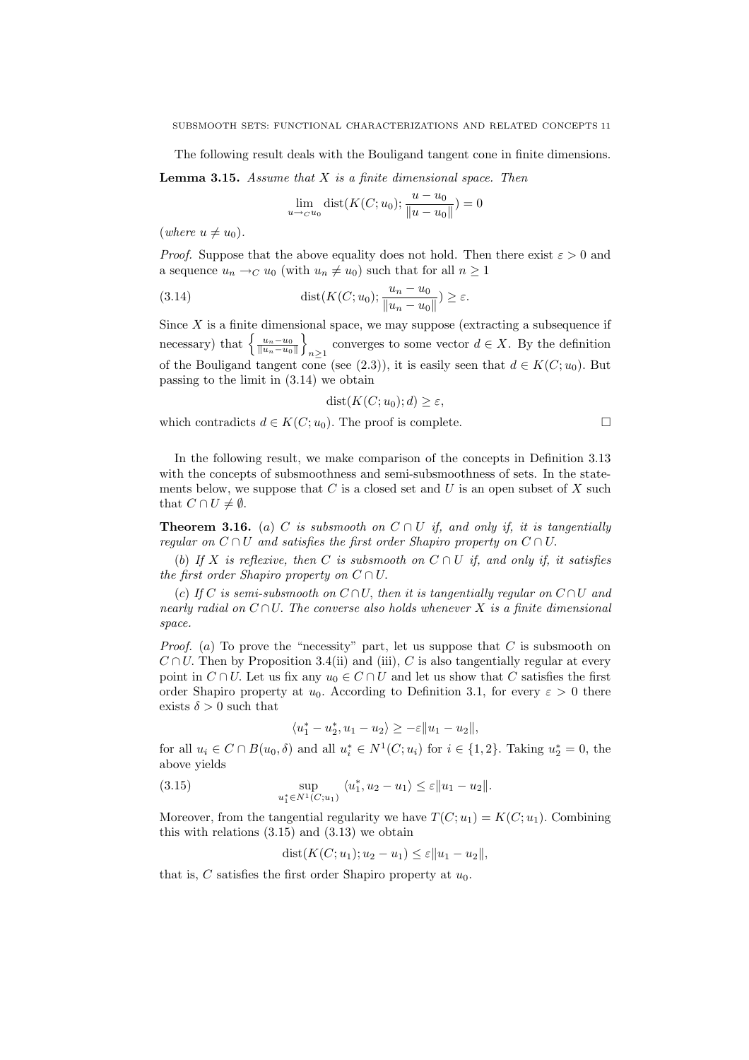The following result deals with the Bouligand tangent cone in finite dimensions.

**Lemma 3.15.** Assume that  $X$  is a finite dimensional space. Then

$$
\lim_{u \to c u_0} \text{dist}(K(C; u_0); \frac{u - u_0}{\|u - u_0\|}) = 0
$$

(where  $u \neq u_0$ ).

*Proof.* Suppose that the above equality does not hold. Then there exist  $\varepsilon > 0$  and a sequence  $u_n \to_C u_0$  (with  $u_n \neq u_0$ ) such that for all  $n \geq 1$ 

(3.14) 
$$
\text{dist}(K(C; u_0); \frac{u_n - u_0}{\|u_n - u_0\|}) \ge \varepsilon.
$$

Since  $X$  is a finite dimensional space, we may suppose (extracting a subsequence if Since X is a finite dimensional space, we may suppose (extracting a subsequence if necessary) that  $\left\{\frac{u_n-u_0}{\|u_n-u_0\|}\right\}_{n\geq 1}$  converges to some vector  $d \in X$ . By the definition of the Bouligand tangent cone (see (2.3)), it is easily seen that  $d \in K(C; u_0)$ . But passing to the limit in (3.14) we obtain

$$
dist(K(C; u_0); d) \ge \varepsilon,
$$

which contradicts  $d \in K(C; u_0)$ . The proof is complete.

In the following result, we make comparison of the concepts in Definition 3.13 with the concepts of subsmoothness and semi-subsmoothness of sets. In the statements below, we suppose that  $C$  is a closed set and  $U$  is an open subset of  $X$  such that  $C \cap U \neq \emptyset$ .

**Theorem 3.16.** (a) C is subsmooth on  $C \cap U$  if, and only if, it is tangentially regular on  $C \cap U$  and satisfies the first order Shapiro property on  $C \cap U$ .

(b) If X is reflexive, then C is subsmooth on  $C \cap U$  if, and only if, it satisfies the first order Shapiro property on  $C \cap U$ .

(c) If C is semi-subsmooth on  $C \cap U$ , then it is tangentially regular on  $C \cap U$  and nearly radial on  $C \cap U$ . The converse also holds whenever X is a finite dimensional space.

*Proof.* (a) To prove the "necessity" part, let us suppose that  $C$  is subsmooth on  $C \cap U$ . Then by Proposition 3.4(ii) and (iii), C is also tangentially regular at every point in  $C \cap U$ . Let us fix any  $u_0 \in C \cap U$  and let us show that C satisfies the first order Shapiro property at  $u_0$ . According to Definition 3.1, for every  $\varepsilon > 0$  there exists  $\delta > 0$  such that

$$
\langle u_1^*-u_2^*,u_1-u_2\rangle\geq -\varepsilon\|u_1-u_2\|,
$$

for all  $u_i \in C \cap B(u_0, \delta)$  and all  $u_i^* \in N^1(C; u_i)$  for  $i \in \{1, 2\}$ . Taking  $u_2^* = 0$ , the above yields

(3.15) 
$$
\sup_{u_1^* \in N^1(C; u_1)} \langle u_1^*, u_2 - u_1 \rangle \leq \varepsilon ||u_1 - u_2||.
$$

Moreover, from the tangential regularity we have  $T(C; u_1) = K(C; u_1)$ . Combining this with relations  $(3.15)$  and  $(3.13)$  we obtain

dist( $K(C; u_1); u_2 - u_1 \leq \varepsilon ||u_1 - u_2||$ ,

that is,  $C$  satisfies the first order Shapiro property at  $u_0$ .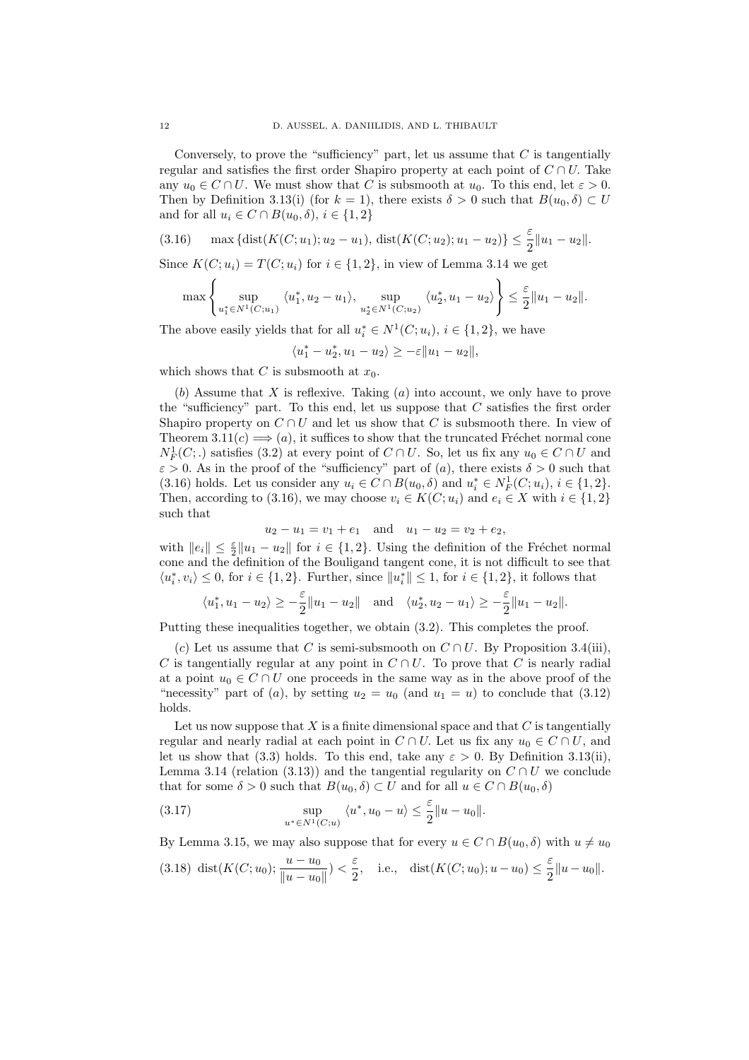Conversely, to prove the "sufficiency" part, let us assume that  $C$  is tangentially regular and satisfies the first order Shapiro property at each point of  $C \cap U$ . Take any  $u_0 \in C \cap U$ . We must show that C is subsmooth at  $u_0$ . To this end, let  $\varepsilon > 0$ . Then by Definition 3.13(i) (for  $k = 1$ ), there exists  $\delta > 0$  such that  $B(u_0, \delta) \subset U$ and for all  $u_i \in C \cap B(u_0, \delta), i \in \{1, 2\}$ 

(3.16) 
$$
\max \{ \text{dist}(K(C; u_1); u_2 - u_1), \, \text{dist}(K(C; u_2); u_1 - u_2) \} \le \frac{\varepsilon}{2} ||u_1 - u_2||.
$$

Since  $K(C; u_i) = T(C; u_i)$  for  $i \in \{1, 2\}$ , in view of Lemma 3.14 we get

$$
\max \left\{\sup_{u_1^* \in N^1(C; u_1)} \langle u_1^*, u_2 - u_1 \rangle, \sup_{u_2^* \in N^1(C; u_2)} \langle u_2^*, u_1 - u_2 \rangle\right\} \leq \frac{\varepsilon}{2} \|u_1 - u_2\|.
$$

The above easily yields that for all  $u_i^* \in N^1(C; u_i)$ ,  $i \in \{1, 2\}$ , we have

$$
\langle u_1^*-u_2^*,u_1-u_2\rangle\geq -\varepsilon\|u_1-u_2\|,
$$

which shows that C is subsmooth at  $x_0$ .

(b) Assume that X is reflexive. Taking  $(a)$  into account, we only have to prove the "sufficiency" part. To this end, let us suppose that  $C$  satisfies the first order Shapiro property on  $C \cap U$  and let us show that C is subsmooth there. In view of Theorem 3.11(c)  $\implies$  (a), it suffices to show that the truncated Fréchet normal cone  $N_F^1(C;.)$  satisfies (3.2) at every point of  $C \cap U$ . So, let us fix any  $u_0 \in C \cap U$  and  $\varepsilon > 0$ . As in the proof of the "sufficiency" part of (a), there exists  $\delta > 0$  such that (3.16) holds. Let us consider any  $u_i \in C \cap B(u_0, \delta)$  and  $u_i^* \in N_F^1(C; u_i)$ ,  $i \in \{1, 2\}$ . Then, according to (3.16), we may choose  $v_i \in K(C; u_i)$  and  $e_i \in X$  with  $i \in \{1, 2\}$ such that

$$
u_2 - u_1 = v_1 + e_1
$$
 and  $u_1 - u_2 = v_2 + e_2$ ,

with  $||e_i|| \leq \frac{\varepsilon}{2} ||u_1 - u_2||$  for  $i \in \{1, 2\}$ . Using the definition of the Fréchet normal cone and the definition of the Bouligand tangent cone, it is not difficult to see that  $\langle u_i^*, v_i \rangle \leq 0$ , for  $i \in \{1, 2\}$ . Further, since  $||u_i^*|| \leq 1$ , for  $i \in \{1, 2\}$ , it follows that

$$
\langle u_1^*, u_1 - u_2 \rangle \ge -\frac{\varepsilon}{2} ||u_1 - u_2||
$$
 and  $\langle u_2^*, u_2 - u_1 \rangle \ge -\frac{\varepsilon}{2} ||u_1 - u_2||$ .

Putting these inequalities together, we obtain (3.2). This completes the proof.

(c) Let us assume that C is semi-subsmooth on  $C \cap U$ . By Proposition 3.4(iii), C is tangentially regular at any point in  $C \cap U$ . To prove that C is nearly radial at a point  $u_0 \in C \cap U$  one proceeds in the same way as in the above proof of the "necessity" part of (a), by setting  $u_2 = u_0$  (and  $u_1 = u$ ) to conclude that (3.12) holds.

Let us now suppose that  $X$  is a finite dimensional space and that  $C$  is tangentially regular and nearly radial at each point in  $C \cap U$ . Let us fix any  $u_0 \in C \cap U$ , and let us show that (3.3) holds. To this end, take any  $\varepsilon > 0$ . By Definition 3.13(ii), Lemma 3.14 (relation (3.13)) and the tangential regularity on  $C \cap U$  we conclude that for some  $\delta > 0$  such that  $B(u_0, \delta) \subset U$  and for all  $u \in C \cap B(u_0, \delta)$ 

(3.17) 
$$
\sup_{u^* \in N^1(C;u)} \langle u^*, u_0 - u \rangle \leq \frac{\varepsilon}{2} ||u - u_0||.
$$

By Lemma 3.15, we may also suppose that for every  $u \in C \cap B(u_0, \delta)$  with  $u \neq u_0$ 

$$
(3.18) \ \operatorname{dist}(K(C; u_0); \frac{u - u_0}{\|u - u_0\|}) < \frac{\varepsilon}{2}, \quad \text{i.e.,} \ \operatorname{dist}(K(C; u_0); u - u_0) \le \frac{\varepsilon}{2} \|u - u_0\|.
$$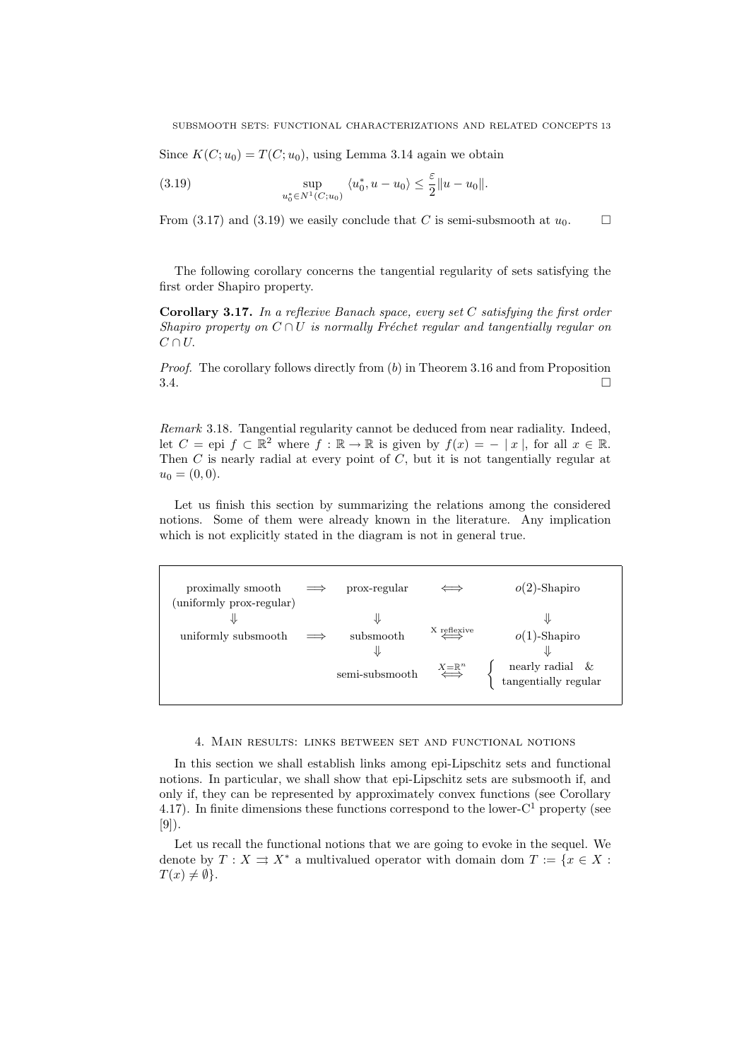Since  $K(C; u_0) = T(C; u_0)$ , using Lemma 3.14 again we obtain

(3.19) 
$$
\sup_{u_0^* \in N^1(C; u_0)} \langle u_0^*, u - u_0 \rangle \leq \frac{\varepsilon}{2} \|u - u_0\|.
$$

From (3.17) and (3.19) we easily conclude that C is semi-subsmooth at  $u_0$ .

The following corollary concerns the tangential regularity of sets satisfying the first order Shapiro property.

Corollary 3.17. In a reflexive Banach space, every set  $C$  satisfying the first order Shapiro property on  $C \cap U$  is normally Fréchet regular and tangentially regular on  $C \cap U$ .

*Proof.* The corollary follows directly from  $(b)$  in Theorem 3.16 and from Proposition  $3.4.$ 

Remark 3.18. Tangential regularity cannot be deduced from near radiality. Indeed, let  $C =$  epi  $f \subset \mathbb{R}^2$  where  $f : \mathbb{R} \to \mathbb{R}$  is given by  $f(x) = - |x|$ , for all  $x \in \mathbb{R}$ . Then  $C$  is nearly radial at every point of  $C$ , but it is not tangentially regular at  $u_0 = (0, 0).$ 

Let us finish this section by summarizing the relations among the considered notions. Some of them were already known in the literature. Any implication which is not explicitly stated in the diagram is not in general true.

| proximally smooth<br>(uniformly prox-regular) | $\implies$ | prox-regular   |                                                  | $o(2)$ -Shapiro                                                                            |
|-----------------------------------------------|------------|----------------|--------------------------------------------------|--------------------------------------------------------------------------------------------|
|                                               |            |                |                                                  |                                                                                            |
| uniformly subsmooth                           | $\implies$ | subsmooth      | X reflexive                                      | $o(1)$ -Shapiro                                                                            |
|                                               |            |                |                                                  |                                                                                            |
|                                               |            | semi-subsmooth | $\stackrel{X=\mathbb{R}^n}{\Longleftrightarrow}$ | $\begin{tabular}{ll} \bf nearly \ radial & \& \\ \bf tangentially \ regular \end{tabular}$ |

# 4. Main results: links between set and functional notions

In this section we shall establish links among epi-Lipschitz sets and functional notions. In particular, we shall show that epi-Lipschitz sets are subsmooth if, and only if, they can be represented by approximately convex functions (see Corollary 4.17). In finite dimensions these functions correspond to the lower- $C<sup>1</sup>$  property (see [9]).

Let us recall the functional notions that we are going to evoke in the sequel. We denote by  $T : X \rightrightarrows X^*$  a multivalued operator with domain dom  $T := \{x \in X :$  $T(x) \neq \emptyset$ .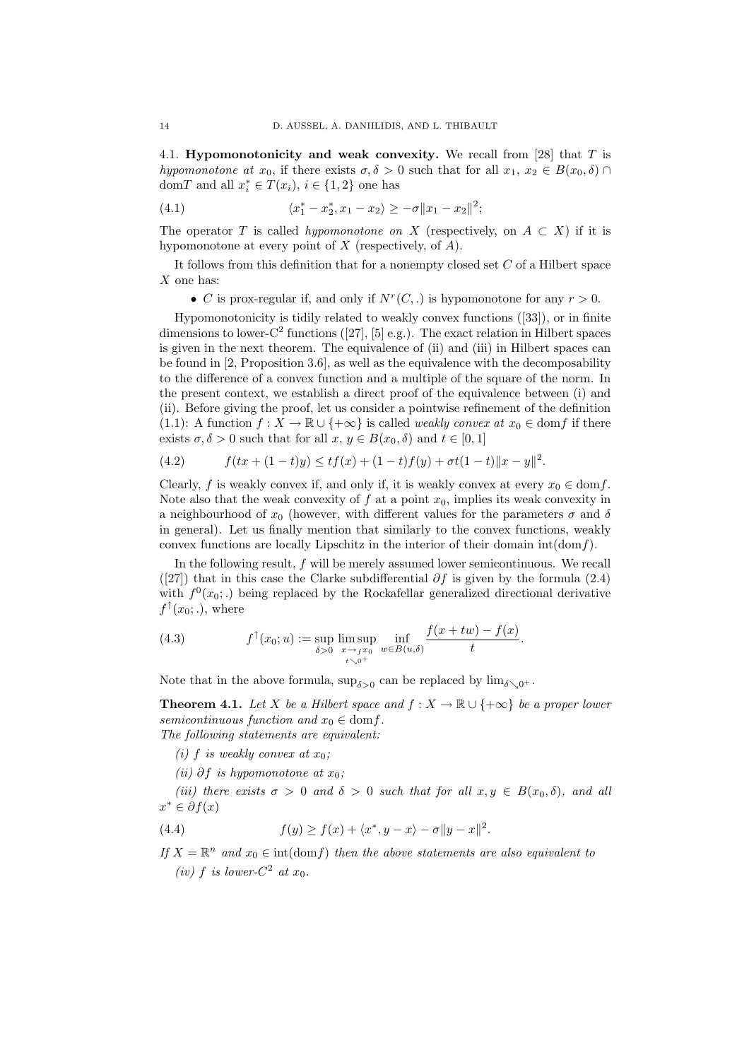4.1. Hypomonotonicity and weak convexity. We recall from [28] that  $T$  is hypomonotone at  $x_0$ , if there exists  $\sigma, \delta > 0$  such that for all  $x_1, x_2 \in B(x_0, \delta) \cap$ domT and all  $x_i^* \in T(x_i)$ ,  $i \in \{1, 2\}$  one has

(4.1) 
$$
\langle x_1^* - x_2^*, x_1 - x_2 \rangle \ge -\sigma \|x_1 - x_2\|^2;
$$

The operator T is called hypomonotone on X (respectively, on  $A \subset X$ ) if it is hypomonotone at every point of  $X$  (respectively, of  $A$ ).

It follows from this definition that for a nonempty closed set  $C$  of a Hilbert space  $X$  one has:

• C is prox-regular if, and only if  $N^r(C,.)$  is hypomonotone for any  $r > 0$ .

Hypomonotonicity is tidily related to weakly convex functions ([33]), or in finite dimensions to lower- $C^2$  functions ([27], [5] e.g.). The exact relation in Hilbert spaces is given in the next theorem. The equivalence of (ii) and (iii) in Hilbert spaces can be found in [2, Proposition 3.6], as well as the equivalence with the decomposability to the difference of a convex function and a multiple of the square of the norm. In the present context, we establish a direct proof of the equivalence between (i) and (ii). Before giving the proof, let us consider a pointwise refinement of the definition (1.1): A function  $f: X \to \mathbb{R} \cup \{+\infty\}$  is called *weakly convex at*  $x_0 \in \text{dom } f$  if there exists  $\sigma, \delta > 0$  such that for all  $x, y \in B(x_0, \delta)$  and  $t \in [0, 1]$ 

(4.2) 
$$
f(tx+(1-t)y) \le tf(x) + (1-t)f(y) + \sigma t(1-t) \|x-y\|^2.
$$

Clearly, f is weakly convex if, and only if, it is weakly convex at every  $x_0 \in \text{dom} f$ . Note also that the weak convexity of  $f$  at a point  $x_0$ , implies its weak convexity in a neighbourhood of  $x_0$  (however, with different values for the parameters  $\sigma$  and  $\delta$ in general). Let us finally mention that similarly to the convex functions, weakly convex functions are locally Lipschitz in the interior of their domain  $int(\text{dom } f)$ .

In the following result,  $f$  will be merely assumed lower semicontinuous. We recall ([27]) that in this case the Clarke subdifferential  $\partial f$  is given by the formula (2.4) with  $f^0(x_0;.)$  being replaced by the Rockafellar generalized directional derivative  $f^{\uparrow}(x_0;.)$ , where

(4.3) 
$$
f^{\uparrow}(x_0; u) := \sup_{\delta > 0} \limsup_{\substack{x \to f(x_0) \\ t \searrow 0^+}} \inf_{w \in B(u, \delta)} \frac{f(x + tw) - f(x)}{t}.
$$

Note that in the above formula,  $\sup_{\delta>0}$  can be replaced by  $\lim_{\delta\searrow 0^+}$ .

**Theorem 4.1.** Let X be a Hilbert space and  $f: X \to \mathbb{R} \cup \{+\infty\}$  be a proper lower semicontinuous function and  $x_0 \in \text{dom} f$ . The following statements are equivalent:

(i) f is weakly convex at  $x_0$ ;

(ii) ∂f is hypomonotone at  $x_0$ ;

(iii) there exists  $\sigma > 0$  and  $\delta > 0$  such that for all  $x, y \in B(x_0, \delta)$ , and all  $x^* \in \partial f(x)$ 

(4.4) 
$$
f(y) \ge f(x) + \langle x^*, y - x \rangle - \sigma ||y - x||^2.
$$

If  $X = \mathbb{R}^n$  and  $x_0 \in \text{int}(\text{dom} f)$  then the above statements are also equivalent to (iv) f is lower- $C^2$  at  $x_0$ .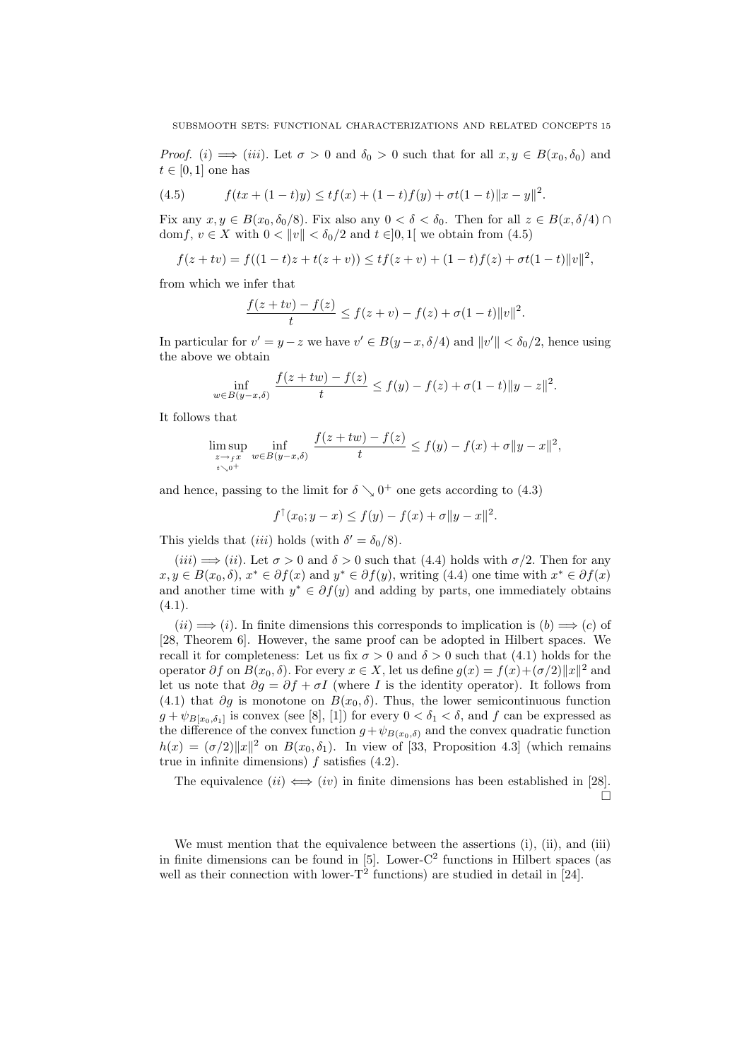*Proof.* (i)  $\implies$  (iii). Let  $\sigma > 0$  and  $\delta_0 > 0$  such that for all  $x, y \in B(x_0, \delta_0)$  and  $t \in [0, 1]$  one has

(4.5) 
$$
f(tx+(1-t)y) \le tf(x) + (1-t)f(y) + \sigma t(1-t) \|x-y\|^2.
$$

Fix any  $x, y \in B(x_0, \delta_0/8)$ . Fix also any  $0 < \delta < \delta_0$ . Then for all  $z \in B(x, \delta/4)$ dom f,  $v \in X$  with  $0 < ||v|| < \delta_0/2$  and  $t \in ]0,1[$  we obtain from  $(4.5)$ 

$$
f(z + tv) = f((1-t)z + t(z + v)) \le tf(z + v) + (1-t)f(z) + \sigma t(1-t) ||v||^2,
$$

from which we infer that

$$
\frac{f(z+tv)-f(z)}{t} \le f(z+v)-f(z)+\sigma(1-t)\|v\|^2.
$$

In particular for  $v' = y - z$  we have  $v' \in B(y - x, \delta/4)$  and  $||v'|| < \delta_0/2$ , hence using the above we obtain

$$
\inf_{\epsilon B(y-x,\delta)} \frac{f(z+tw)-f(z)}{t} \le f(y)-f(z)+\sigma(1-t) \|y-z\|^2.
$$

It follows that

 $w<sub>2</sub>$ 

$$
\limsup_{\substack{z \to fx \\ t \searrow 0^+}} \inf_{w \in B(y-x,\delta)} \frac{f(z+tw) - f(z)}{t} \le f(y) - f(x) + \sigma \|y - x\|^2,
$$

and hence, passing to the limit for  $\delta \searrow 0^+$  one gets according to (4.3)

$$
f^{\uparrow}(x_0; y - x) \le f(y) - f(x) + \sigma \|y - x\|^2.
$$

This yields that (iii) holds (with  $\delta' = \delta_0/8$ ).

 $(iii) \implies (ii)$ . Let  $\sigma > 0$  and  $\delta > 0$  such that  $(4.4)$  holds with  $\sigma/2$ . Then for any  $x, y \in B(x_0, \delta), x^* \in \partial f(x)$  and  $y^* \in \partial f(y)$ , writing (4.4) one time with  $x^* \in \partial f(x)$ and another time with  $y^* \in \partial f(y)$  and adding by parts, one immediately obtains  $(4.1).$ 

 $(ii) \Longrightarrow (i)$ . In finite dimensions this corresponds to implication is  $(b) \Longrightarrow (c)$  of [28, Theorem 6]. However, the same proof can be adopted in Hilbert spaces. We recall it for completeness: Let us fix  $\sigma > 0$  and  $\delta > 0$  such that (4.1) holds for the operator  $\partial f$  on  $B(x_0, \delta)$ . For every  $x \in X$ , let us define  $g(x) = f(x) + (\sigma/2) ||x||^2$  and let us note that  $\partial g = \partial f + \sigma I$  (where I is the identity operator). It follows from (4.1) that ∂g is monotone on  $B(x_0, \delta)$ . Thus, the lower semicontinuous function  $g + \psi_{B[x_0, \delta_1]}$  is convex (see [8], [1]) for every  $0 < \delta_1 < \delta$ , and f can be expressed as the difference of the convex function  $g + \psi_{B(x_0,\delta)}$  and the convex quadratic function  $h(x) = (\sigma/2) ||x||^2$  on  $B(x_0, \delta_1)$ . In view of [33, Proposition 4.3] (which remains true in infinite dimensions)  $f$  satisfies  $(4.2)$ .

The equivalence  $(ii) \iff (iv)$  in finite dimensions has been established in [28].

 $\Box$ 

We must mention that the equivalence between the assertions (i), (ii), and (iii) in finite dimensions can be found in  $[5]$ . Lower-C<sup>2</sup> functions in Hilbert spaces (as well as their connection with lower- $T^2$  functions) are studied in detail in [24].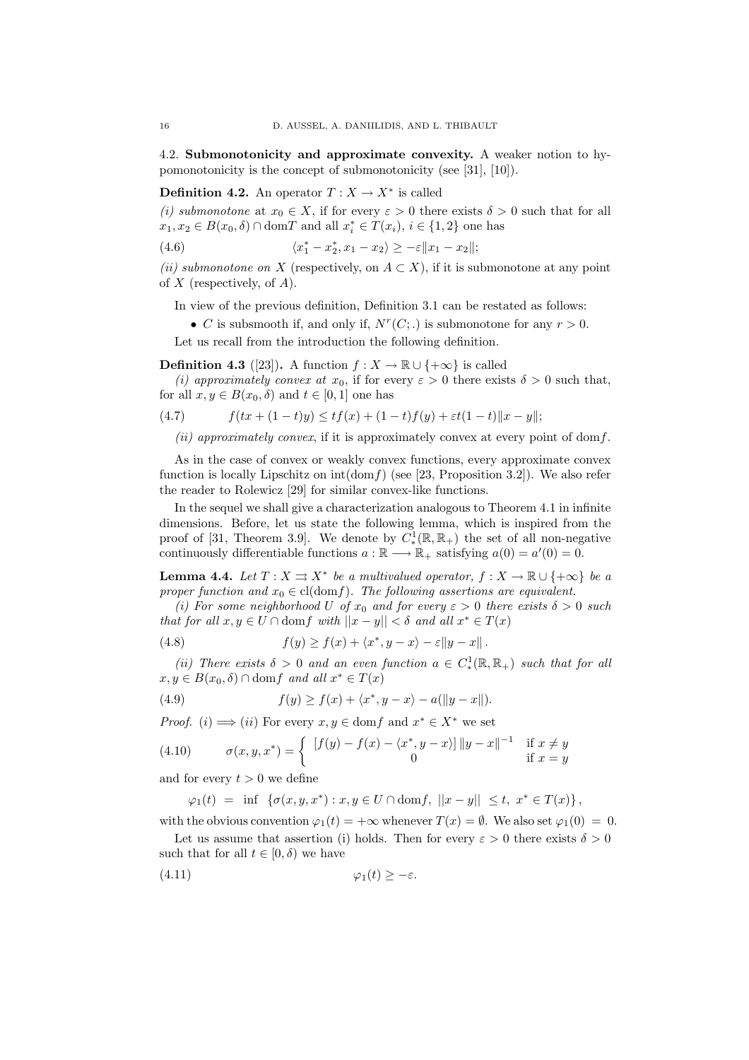4.2. Submonotonicity and approximate convexity. A weaker notion to hypomonotonicity is the concept of submonotonicity (see [31], [10]).

**Definition 4.2.** An operator  $T: X \to X^*$  is called

(i) submonotone at  $x_0 \in X$ , if for every  $\varepsilon > 0$  there exists  $\delta > 0$  such that for all  $x_1, x_2 \in B(x_0, \delta) \cap \text{dom} T$  and all  $x_i^* \in T(x_i), i \in \{1, 2\}$  one has

 $(4.6)$  $x_1^* - x_2^*, x_1 - x_2 \ge -\varepsilon ||x_1 - x_2||;$ 

(ii) submonotone on X (respectively, on  $A \subset X$ ), if it is submonotone at any point of  $X$  (respectively, of  $A$ ).

In view of the previous definition, Definition 3.1 can be restated as follows:

• C is subsmooth if, and only if,  $N^r(C;.)$  is submonotone for any  $r > 0$ .

Let us recall from the introduction the following definition.

**Definition 4.3** ([23]). A function  $f : X \to \mathbb{R} \cup \{+\infty\}$  is called

(i) approximately convex at  $x_0$ , if for every  $\varepsilon > 0$  there exists  $\delta > 0$  such that, for all  $x, y \in B(x_0, \delta)$  and  $t \in [0, 1]$  one has

$$
(4.7) \t f(tx+(1-t)y) \le tf(x) + (1-t)f(y) + \varepsilon t(1-t) \|x-y\|;
$$

(ii) approximately convex, if it is approximately convex at every point of dom  $f$ .

As in the case of convex or weakly convex functions, every approximate convex function is locally Lipschitz on  $int(dom f)$  (see [23, Proposition 3.2]). We also refer the reader to Rolewicz [29] for similar convex-like functions.

In the sequel we shall give a characterization analogous to Theorem 4.1 in infinite dimensions. Before, let us state the following lemma, which is inspired from the proof of [31, Theorem 3.9]. We denote by  $C^1_*(\mathbb{R}, \mathbb{R}_+)$  the set of all non-negative continuously differentiable functions  $a : \mathbb{R} \longrightarrow \mathbb{R}_+$  satisfying  $a(0) = a'(0) = 0$ .

**Lemma 4.4.** Let  $T: X \rightrightarrows X^*$  be a multivalued operator,  $f: X \to \mathbb{R} \cup \{+\infty\}$  be a proper function and  $x_0 \in \text{cl}(\text{dom} f)$ . The following assertions are equivalent.

(i) For some neighborhood U of  $x_0$  and for every  $\varepsilon > 0$  there exists  $\delta > 0$  such that for all  $x, y \in U \cap \text{dom} f$  with  $||x - y|| < \delta$  and all  $x^* \in T(x)$ 

(4.8) 
$$
f(y) \ge f(x) + \langle x^*, y - x \rangle - \varepsilon \|y - x\|.
$$

(ii) There exists  $\delta > 0$  and an even function  $a \in C^1_*(\mathbb{R}, \mathbb{R}_+)$  such that for all  $x, y \in B(x_0, \delta) \cap \text{dom} f \text{ and all } x^* \in T(x)$ 

(4.9) 
$$
f(y) \ge f(x) + \langle x^*, y - x \rangle - a(||y - x||).
$$

*Proof.* (*i*)  $\implies$  (*ii*) For every  $x, y \in \text{dom} f$  and  $x^* \in X^*$  we set

(4.10) 
$$
\sigma(x, y, x^*) = \begin{cases} [f(y) - f(x) - \langle x^*, y - x \rangle] \|y - x\|^{-1} & \text{if } x \neq y \\ 0 & \text{if } x = y \end{cases}
$$

and for every  $t > 0$  we define

 $\varphi_1(t) = \inf \{ \sigma(x, y, x^*) : x, y \in U \cap \text{dom} f, ||x - y|| \leq t, x^* \in T(x) \},$ 

with the obvious convention  $\varphi_1(t) = +\infty$  whenever  $T(x) = \emptyset$ . We also set  $\varphi_1(0) = 0$ .

Let us assume that assertion (i) holds. Then for every  $\varepsilon > 0$  there exists  $\delta > 0$ such that for all  $t \in [0, \delta)$  we have

$$
(4.11) \qquad \qquad \varphi_1(t) \geq -\varepsilon.
$$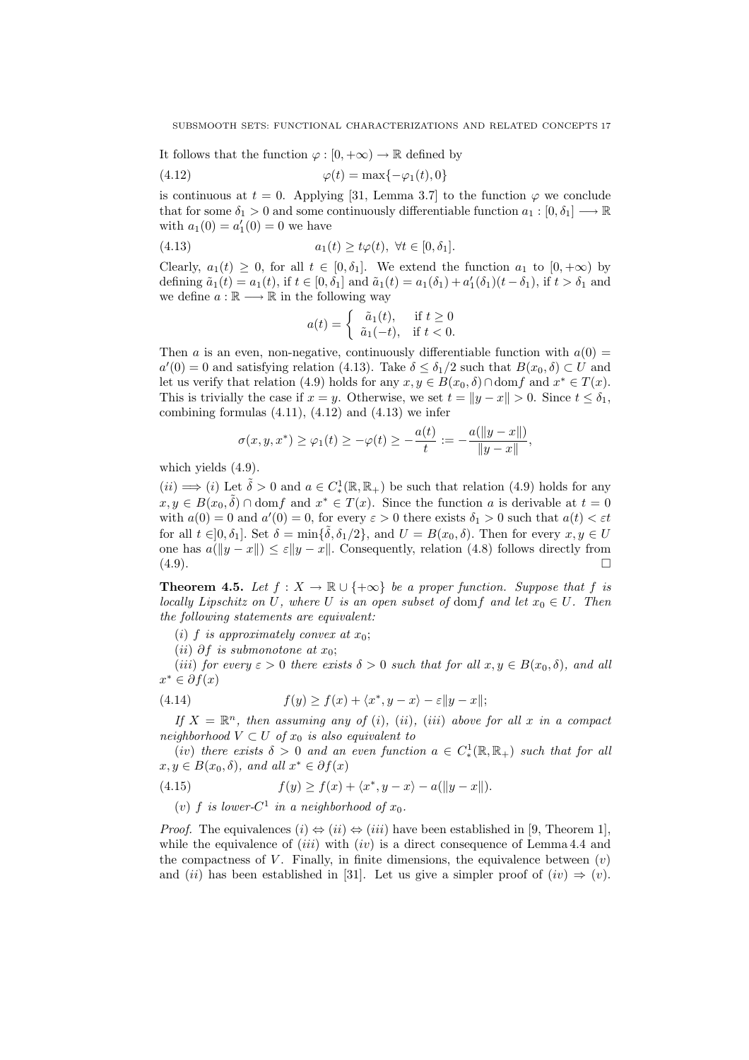It follows that the function  $\varphi : [0, +\infty) \to \mathbb{R}$  defined by

(4.12)  $\varphi(t) = \max\{-\varphi_1(t), 0\}$ 

is continuous at  $t = 0$ . Applying [31, Lemma 3.7] to the function  $\varphi$  we conclude that for some  $\delta_1 > 0$  and some continuously differentiable function  $a_1 : [0, \delta_1] \longrightarrow \mathbb{R}$ with  $a_1(0) = a'_1(0) = 0$  we have

(4.13) 
$$
a_1(t) \ge t\varphi(t), \ \forall t \in [0, \delta_1].
$$

Clearly,  $a_1(t) \geq 0$ , for all  $t \in [0, \delta_1]$ . We extend the function  $a_1$  to  $[0, +\infty)$  by defining  $\tilde{a}_1(t) = a_1(t)$ , if  $t \in [0, \delta_1]$  and  $\tilde{a}_1(t) = a_1(\delta_1) + a'_1(\delta_1)(t - \delta_1)$ , if  $t > \delta_1$  and we define  $a : \mathbb{R} \longrightarrow \mathbb{R}$  in the following way

$$
a(t) = \begin{cases} \tilde{a}_1(t), & \text{if } t \ge 0\\ \tilde{a}_1(-t), & \text{if } t < 0. \end{cases}
$$

Then a is an even, non-negative, continuously differentiable function with  $a(0)$  =  $a'(0) = 0$  and satisfying relation (4.13). Take  $\delta \leq \delta_1/2$  such that  $B(x_0, \delta) \subset U$  and let us verify that relation (4.9) holds for any  $x, y \in B(x_0, \delta) \cap \text{dom} f$  and  $x^* \in T(x)$ . This is trivially the case if  $x = y$ . Otherwise, we set  $t = ||y - x|| > 0$ . Since  $t \le \delta_1$ , combining formulas  $(4.11)$ ,  $(4.12)$  and  $(4.13)$  we infer

$$
\sigma(x, y, x^*) \ge \varphi_1(t) \ge -\varphi(t) \ge -\frac{a(t)}{t} := -\frac{a(\|y-x\|)}{\|y-x\|},
$$

which yields (4.9).

 $(ii) \Longrightarrow (i)$  Let  $\tilde{\delta} > 0$  and  $a \in C^1_*(\mathbb{R}, \mathbb{R}_+)$  be such that relation (4.9) holds for any  $x, y \in B(x_0, \tilde{\delta}) \cap \text{dom} f$  and  $x^* \in T(x)$ . Since the function a is derivable at  $t = 0$ with  $a(0) = 0$  and  $a'(0) = 0$ , for every  $\varepsilon > 0$  there exists  $\delta_1 > 0$  such that  $a(t) < \varepsilon t$ for all  $t \in ]0, \delta_1]$ . Set  $\delta = \min{\{\tilde{\delta}, \delta_1/2\}}$ , and  $U = B(x_0, \delta)$ . Then for every  $x, y \in U$ one has  $a(||y - x||) \le \varepsilon ||y - x||$ . Consequently, relation (4.8) follows directly from  $(4.9)$ .

**Theorem 4.5.** Let  $f : X \to \mathbb{R} \cup \{+\infty\}$  be a proper function. Suppose that f is locally Lipschitz on U, where U is an open subset of domf and let  $x_0 \in U$ . Then the following statements are equivalent:

(i) f is approximately convex at  $x_0$ ;

(ii) ∂f is submonotone at  $x_0$ ;

(iii) for every  $\varepsilon > 0$  there exists  $\delta > 0$  such that for all  $x, y \in B(x_0, \delta)$ , and all  $x^* \in \partial f(x)$ 

(4.14) 
$$
f(y) \ge f(x) + \langle x^*, y - x \rangle - \varepsilon \|y - x\|;
$$

If  $X = \mathbb{R}^n$ , then assuming any of (i), (ii), (iii) above for all x in a compact neighborhood  $V \subset U$  of  $x_0$  is also equivalent to

(iv) there exists  $\delta > 0$  and an even function  $a \in C^1_*(\mathbb{R}, \mathbb{R}_+)$  such that for all  $x, y \in B(x_0, \delta)$ , and all  $x^* \in \partial f(x)$ 

(4.15) 
$$
f(y) \ge f(x) + \langle x^*, y - x \rangle - a(||y - x||).
$$

(v) f is lower- $C^1$  in a neighborhood of  $x_0$ .

*Proof.* The equivalences  $(i) \Leftrightarrow (ii) \Leftrightarrow (iii)$  have been established in [9, Theorem 1], while the equivalence of  $(iii)$  with  $(iv)$  is a direct consequence of Lemma 4.4 and the compactness of  $V$ . Finally, in finite dimensions, the equivalence between  $(v)$ and (ii) has been established in [31]. Let us give a simpler proof of  $(iv) \Rightarrow (v)$ .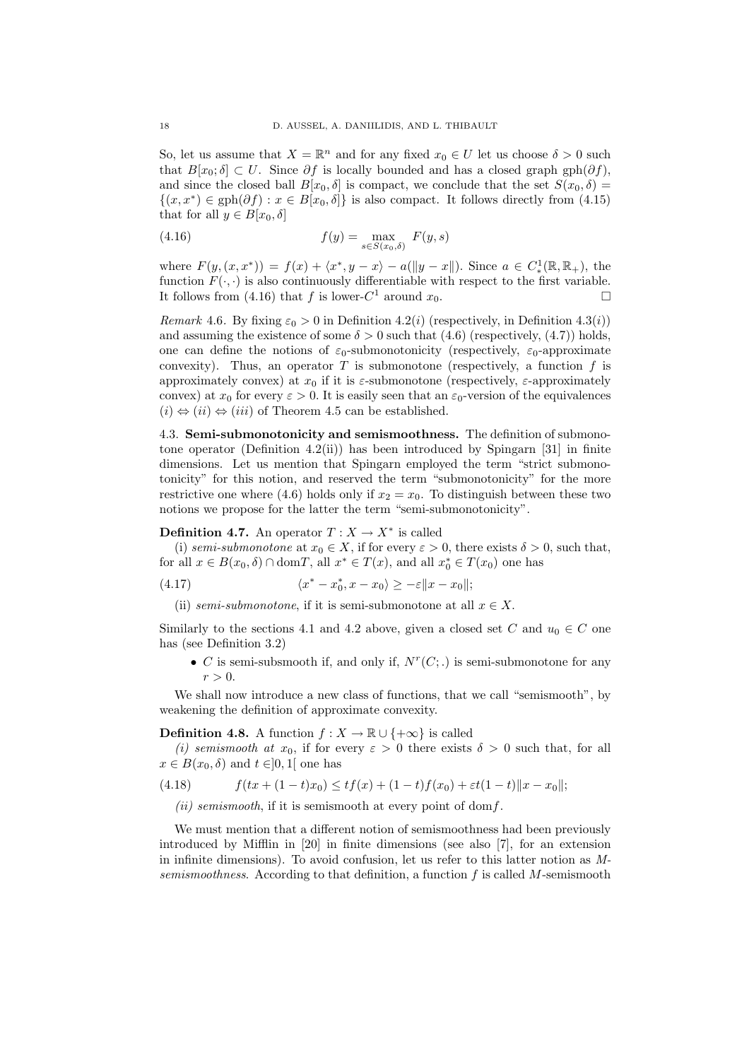So, let us assume that  $X = \mathbb{R}^n$  and for any fixed  $x_0 \in U$  let us choose  $\delta > 0$  such that  $B[x_0;\delta] \subset U$ . Since  $\partial f$  is locally bounded and has a closed graph gph( $\partial f$ ), and since the closed ball  $B[x_0, \delta]$  is compact, we conclude that the set  $S(x_0, \delta)$  =  $\{(x, x^*) \in \text{gph}(\partial f) : x \in B[x_0, \delta]\}\$ is also compact. It follows directly from (4.15) that for all  $y \in B[x_0, \delta]$ 

(4.16) 
$$
f(y) = \max_{s \in S(x_0, \delta)} F(y, s)
$$

where  $F(y,(x,x^*)) = f(x) + \langle x^*, y - x \rangle - a(||y - x||)$ . Since  $a \in C^1_*(\mathbb{R}, \mathbb{R}_+)$ , the function  $F(\cdot, \cdot)$  is also continuously differentiable with respect to the first variable. It follows from (4.16) that f is lower- $C^1$  around  $x_0$ .

Remark 4.6. By fixing  $\varepsilon_0 > 0$  in Definition 4.2(*i*) (respectively, in Definition 4.3(*i*)) and assuming the existence of some  $\delta > 0$  such that (4.6) (respectively, (4.7)) holds, one can define the notions of  $\varepsilon_0$ -submonotonicity (respectively,  $\varepsilon_0$ -approximate convexity). Thus, an operator  $T$  is submonotone (respectively, a function  $f$  is approximately convex) at  $x_0$  if it is  $\varepsilon$ -submonotone (respectively,  $\varepsilon$ -approximately convex) at  $x_0$  for every  $\varepsilon > 0$ . It is easily seen that an  $\varepsilon_0$ -version of the equivalences  $(i) \Leftrightarrow (ii) \Leftrightarrow (iii)$  of Theorem 4.5 can be established.

4.3. Semi-submonotonicity and semismoothness. The definition of submonotone operator (Definition 4.2(ii)) has been introduced by Spingarn [31] in finite dimensions. Let us mention that Spingarn employed the term "strict submonotonicity" for this notion, and reserved the term "submonotonicity" for the more restrictive one where (4.6) holds only if  $x_2 = x_0$ . To distinguish between these two notions we propose for the latter the term "semi-submonotonicity".

**Definition 4.7.** An operator  $T: X \to X^*$  is called

(i) semi-submonotone at  $x_0 \in X$ , if for every  $\varepsilon > 0$ , there exists  $\delta > 0$ , such that, for all  $x \in B(x_0, \delta) \cap \text{dom} T$ , all  $x^* \in T(x)$ , and all  $x_0^* \in T(x_0)$  one has

(4.17) 
$$
\langle x^* - x_0^*, x - x_0 \rangle \ge -\varepsilon ||x - x_0||;
$$

(ii) semi-submonotone, if it is semi-submonotone at all  $x \in X$ .

Similarly to the sections 4.1 and 4.2 above, given a closed set C and  $u_0 \in C$  one has (see Definition 3.2)

• C is semi-subsmooth if, and only if,  $N^r(C;.)$  is semi-submonotone for any  $r > 0$ .

We shall now introduce a new class of functions, that we call "semismooth", by weakening the definition of approximate convexity.

**Definition 4.8.** A function  $f : X \to \mathbb{R} \cup \{+\infty\}$  is called

(i) semismooth at  $x_0$ , if for every  $\varepsilon > 0$  there exists  $\delta > 0$  such that, for all  $x \in B(x_0, \delta)$  and  $t \in ]0, 1]$  one has

(4.18)  $f(tx + (1-t)x_0) \le tf(x) + (1-t)f(x_0) + \varepsilon t(1-t)||x - x_0||;$ 

(ii) semismooth, if it is semismooth at every point of dom  $f$ .

We must mention that a different notion of semismoothness had been previously introduced by Mifflin in [20] in finite dimensions (see also [7], for an extension in infinite dimensions). To avoid confusion, let us refer to this latter notion as Msemismoothness. According to that definition, a function  $f$  is called  $M$ -semismooth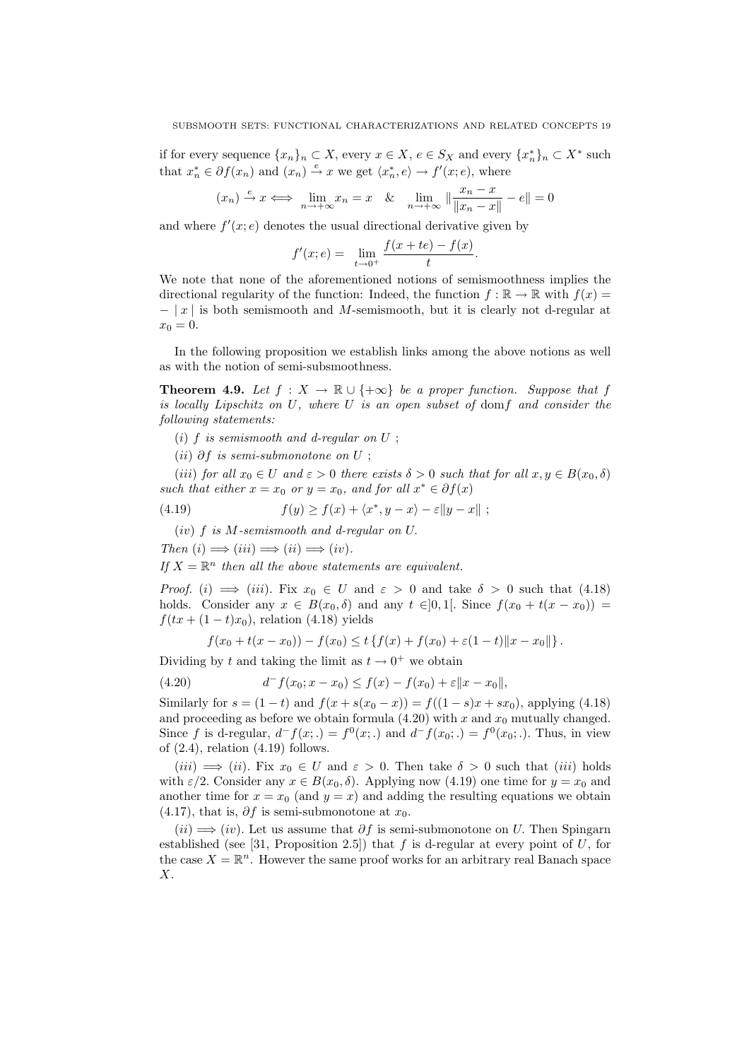if for every sequence  $\{x_n\}_n \subset X$ , every  $x \in X$ ,  $e \in S_X$  and every  $\{x_n^*\}_n \subset X^*$  such that  $x_n^* \in \partial f(x_n)$  and  $(x_n) \stackrel{e}{\rightarrow} x$  we get  $\langle x_n^*, e \rangle \rightarrow f'(x; e)$ , where

$$
(x_n) \xrightarrow{e} x \iff \lim_{n \to +\infty} x_n = x \quad \& \quad \lim_{n \to +\infty} \|\frac{x_n - x}{\|x_n - x\|} - e\| = 0
$$

and where  $f'(x; e)$  denotes the usual directional derivative given by

$$
f'(x; e) = \lim_{t \to 0^+} \frac{f(x + te) - f(x)}{t}.
$$

We note that none of the aforementioned notions of semismoothness implies the directional regularity of the function: Indeed, the function  $f : \mathbb{R} \to \mathbb{R}$  with  $f(x) =$  $- |x|$  is both semismooth and M-semismooth, but it is clearly not d-regular at  $x_0 = 0.$ 

In the following proposition we establish links among the above notions as well as with the notion of semi-subsmoothness.

**Theorem 4.9.** Let  $f : X \to \mathbb{R} \cup \{+\infty\}$  be a proper function. Suppose that f is locally Lipschitz on U, where U is an open subset of domf and consider the following statements:

- $(i)$  f is semismooth and d-regular on  $U$ ;
- (ii)  $\partial f$  is semi-submonotone on  $U$ ;

(iii) for all  $x_0 \in U$  and  $\varepsilon > 0$  there exists  $\delta > 0$  such that for all  $x, y \in B(x_0, \delta)$ such that either  $x = x_0$  or  $y = x_0$ , and for all  $x^* \in \partial f(x)$ 

(4.19) 
$$
f(y) \ge f(x) + \langle x^*, y - x \rangle - \varepsilon \|y - x\| ;
$$

 $(iv)$  f is M-semismooth and d-regular on U.

Then  $(i) \implies (iii) \implies (ii) \implies (iv)$ .

If  $X = \mathbb{R}^n$  then all the above statements are equivalent.

*Proof.* (i)  $\implies$  (iii). Fix  $x_0 \in U$  and  $\varepsilon > 0$  and take  $\delta > 0$  such that (4.18) holds. Consider any  $x \in B(x_0, \delta)$  and any  $t \in ]0,1[$ . Since  $f(x_0 + t(x - x_0)) =$  $f(tx + (1-t)x_0)$ , relation (4.18) yields

$$
f(x_0 + t(x - x_0)) - f(x_0) \le t \{f(x) + f(x_0) + \varepsilon(1 - t) \|x - x_0\| \}.
$$

Dividing by t and taking the limit as  $t \to 0^+$  we obtain

(4.20) 
$$
d^- f(x_0; x - x_0) \le f(x) - f(x_0) + \varepsilon ||x - x_0||,
$$

Similarly for  $s = (1 - t)$  and  $f(x + s(x_0 - x)) = f((1 - s)x + sx_0)$ , applying (4.18) and proceeding as before we obtain formula  $(4.20)$  with x and  $x_0$  mutually changed. Since f is d-regular,  $d^-f(x;.) = f^0(x;.)$  and  $d^-f(x_0;.) = f^0(x_0;.)$ . Thus, in view of  $(2.4)$ , relation  $(4.19)$  follows.

(iii)  $\implies$  (ii). Fix  $x_0 \in U$  and  $\varepsilon > 0$ . Then take  $\delta > 0$  such that (iii) holds with  $\varepsilon/2$ . Consider any  $x \in B(x_0, \delta)$ . Applying now (4.19) one time for  $y = x_0$  and another time for  $x = x_0$  (and  $y = x$ ) and adding the resulting equations we obtain  $(4.17)$ , that is,  $\partial f$  is semi-submonotone at  $x_0$ .

 $(ii) \implies (iv)$ . Let us assume that  $\partial f$  is semi-submonotone on U. Then Spingarn established (see [31, Proposition 2.5]) that  $f$  is d-regular at every point of  $U$ , for the case  $X = \mathbb{R}^n$ . However the same proof works for an arbitrary real Banach space X.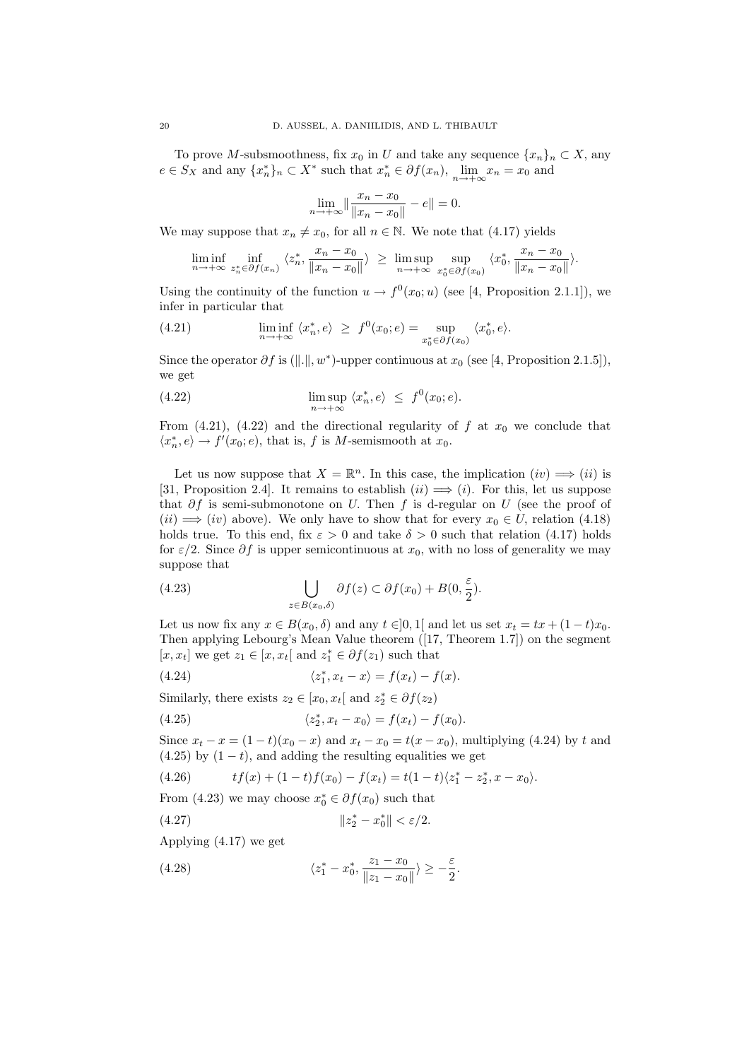To prove M-subsmoothness, fix  $x_0$  in U and take any sequence  $\{x_n\}_n \subset X$ , any  $e \in S_X$  and any  $\{x_n^*\}_n \subset X^*$  such that  $x_n^* \in \partial f(x_n)$ ,  $\lim_{n \to +\infty} x_n = x_0$  and

$$
\lim_{n \to +\infty} \left\| \frac{x_n - x_0}{\|x_n - x_0\|} - e \right\| = 0.
$$

We may suppose that  $x_n \neq x_0$ , for all  $n \in \mathbb{N}$ . We note that (4.17) yields

$$
\liminf_{n \to +\infty} \inf_{z_n^* \in \partial f(x_n)} \langle z_n^*, \frac{x_n - x_0}{\|x_n - x_0\|} \rangle \ge \limsup_{n \to +\infty} \sup_{x_0^* \in \partial f(x_0)} \langle x_0^*, \frac{x_n - x_0}{\|x_n - x_0\|} \rangle.
$$

Using the continuity of the function  $u \to f^0(x_0; u)$  (see [4, Proposition 2.1.1]), we infer in particular that

(4.21) 
$$
\liminf_{n \to +\infty} \langle x_n^*, e \rangle \geq f^0(x_0; e) = \sup_{x_0^* \in \partial f(x_0)} \langle x_0^*, e \rangle.
$$

Since the operator  $\partial f$  is ( $\|\cdot\|$ , w<sup>∗</sup>)-upper continuous at  $x_0$  (see [4, Proposition 2.1.5]), we get

(4.22) 
$$
\limsup_{n \to +\infty} \langle x_n^*, e \rangle \leq f^0(x_0; e).
$$

From (4.21), (4.22) and the directional regularity of f at  $x_0$  we conclude that  $\langle x_n^*, e \rangle \to f'(x_0; e)$ , that is, f is M-semismooth at  $x_0$ .

Let us now suppose that  $X = \mathbb{R}^n$ . In this case, the implication  $(iv) \implies (ii)$  is [31, Proposition 2.4]. It remains to establish  $(ii) \implies (i)$ . For this, let us suppose that  $\partial f$  is semi-submonotone on U. Then f is d-regular on U (see the proof of  $(ii) \implies (iv)$  above). We only have to show that for every  $x_0 \in U$ , relation (4.18) holds true. To this end, fix  $\varepsilon > 0$  and take  $\delta > 0$  such that relation (4.17) holds for  $\varepsilon/2$ . Since  $\partial f$  is upper semicontinuous at  $x_0$ , with no loss of generality we may suppose that

(4.23) 
$$
\bigcup_{z \in B(x_0,\delta)} \partial f(z) \subset \partial f(x_0) + B(0,\frac{\varepsilon}{2}).
$$

Let us now fix any  $x \in B(x_0, \delta)$  and any  $t \in ]0,1]$  and let us set  $x_t = tx + (1-t)x_0$ . Then applying Lebourg's Mean Value theorem ([17, Theorem 1.7]) on the segment  $[x, x_t]$  we get  $z_1 \in [x, x_t]$  and  $z_1^* \in \partial f(z_1)$  such that

(4.24) 
$$
\langle z_1^*, x_t - x \rangle = f(x_t) - f(x).
$$

Similarly, there exists  $z_2 \in [x_0, x_t]$  and  $z_2^* \in \partial f(z_2)$ 

(4.25) 
$$
\langle z_2^*, x_t - x_0 \rangle = f(x_t) - f(x_0).
$$

Since  $x_t - x = (1 - t)(x_0 - x)$  and  $x_t - x_0 = t(x - x_0)$ , multiplying (4.24) by t and  $(4.25)$  by  $(1-t)$ , and adding the resulting equalities we get

.

$$
(4.26) \t\t\t\ttf(x) + (1-t)f(x_0) - f(x_t) = t(1-t)\langle z_1^* - z_2^*, x - x_0 \rangle.
$$

From (4.23) we may choose  $x_0^* \in \partial f(x_0)$  such that

(4.27) 
$$
||z_2^* - x_0^*|| < \varepsilon/2.
$$

Applying (4.17) we get

(4.28) 
$$
\langle z_1^* - x_0^*, \frac{z_1 - x_0}{\|z_1 - x_0\|} \rangle \ge -\frac{\varepsilon}{2}
$$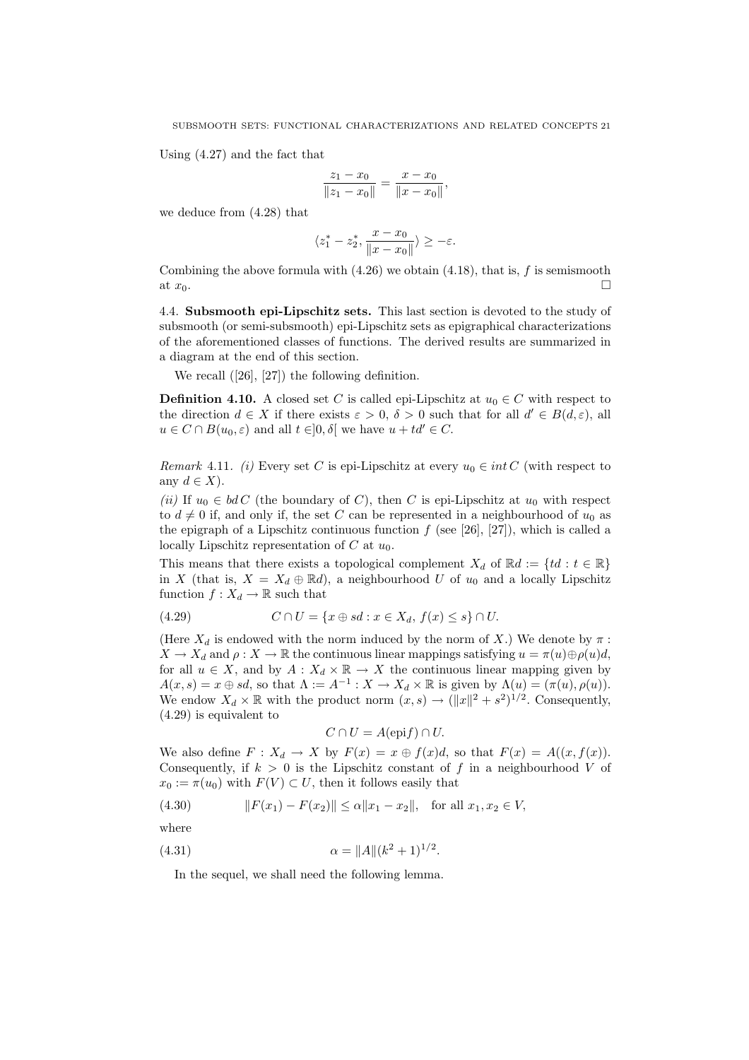Using (4.27) and the fact that

$$
\frac{z_1 - x_0}{\|z_1 - x_0\|} = \frac{x - x_0}{\|x - x_0\|},
$$

we deduce from (4.28) that

$$
\langle z_1^*-z_2^*,\frac{x-x_0}{\|x-x_0\|}\rangle\geq -\varepsilon.
$$

Combining the above formula with  $(4.26)$  we obtain  $(4.18)$ , that is, f is semismooth at  $x_0$ .

4.4. Subsmooth epi-Lipschitz sets. This last section is devoted to the study of subsmooth (or semi-subsmooth) epi-Lipschitz sets as epigraphical characterizations of the aforementioned classes of functions. The derived results are summarized in a diagram at the end of this section.

We recall  $([26], [27])$  the following definition.

**Definition 4.10.** A closed set C is called epi-Lipschitz at  $u_0 \in C$  with respect to the direction  $d \in X$  if there exists  $\varepsilon > 0$ ,  $\delta > 0$  such that for all  $d' \in B(d, \varepsilon)$ , all  $u \in C \cap B(u_0, \varepsilon)$  and all  $t \in ]0, \delta[$  we have  $u + td' \in C$ .

Remark 4.11. (i) Every set C is epi-Lipschitz at every  $u_0 \in int C$  (with respect to any  $d \in X$ ).

(ii) If  $u_0 \in bd C$  (the boundary of C), then C is epi-Lipschitz at  $u_0$  with respect to  $d \neq 0$  if, and only if, the set C can be represented in a neighbourhood of  $u_0$  as the epigraph of a Lipschitz continuous function  $f$  (see [26], [27]), which is called a locally Lipschitz representation of  $C$  at  $u_0$ .

This means that there exists a topological complement  $X_d$  of  $\mathbb{R}d := \{td : t \in \mathbb{R}\}\$ in X (that is,  $X = X_d \oplus \mathbb{R}d$ ), a neighbourhood U of  $u_0$  and a locally Lipschitz function  $f: X_d \to \mathbb{R}$  such that

$$
(4.29) \tC \cap U = \{x \oplus sd : x \in X_d, f(x) \le s\} \cap U.
$$

(Here  $X_d$  is endowed with the norm induced by the norm of X.) We denote by  $\pi$ :  $X \to X_d$  and  $\rho: X \to \mathbb{R}$  the continuous linear mappings satisfying  $u = \pi(u) \oplus \rho(u) d$ , for all  $u \in X$ , and by  $A: X_d \times \mathbb{R} \to X$  the continuous linear mapping given by  $A(x, s) = x \oplus sd$ , so that  $\Lambda := A^{-1} : X \to X_d \times \mathbb{R}$  is given by  $\Lambda(u) = (\pi(u), \rho(u))$ . We endow  $X_d \times \mathbb{R}$  with the product norm  $(x, s) \to (\|x\|^2 + s^2)^{1/2}$ . Consequently, (4.29) is equivalent to

$$
C \cap U = A(\text{epi} f) \cap U.
$$

We also define  $F: X_d \to X$  by  $F(x) = x \oplus f(x)d$ , so that  $F(x) = A((x, f(x))$ . Consequently, if  $k > 0$  is the Lipschitz constant of f in a neighbourhood V of  $x_0 := \pi(u_0)$  with  $F(V) \subset U$ , then it follows easily that

$$
(4.30) \t\t\t ||F(x_1) - F(x_2)|| \le \alpha ||x_1 - x_2||, \tfor all x_1, x_2 \in V,
$$

where

(4.31) 
$$
\alpha = ||A||(k^2 + 1)^{1/2}.
$$

In the sequel, we shall need the following lemma.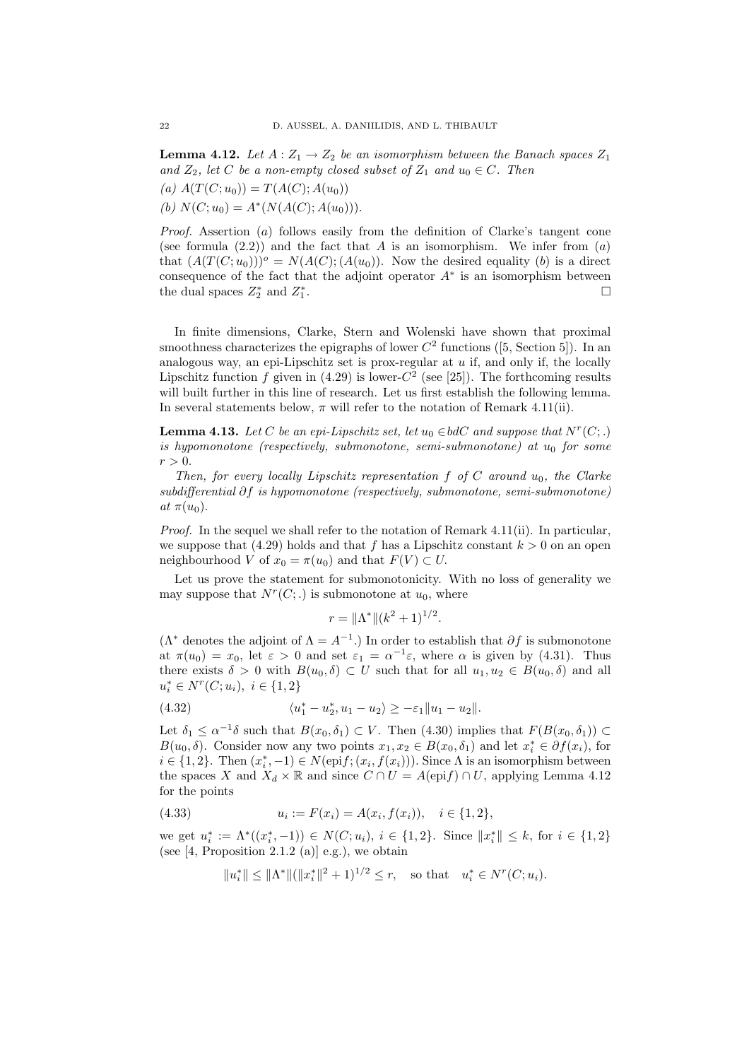**Lemma 4.12.** Let  $A: Z_1 \to Z_2$  be an isomorphism between the Banach spaces  $Z_1$ and  $Z_2$ , let C be a non-empty closed subset of  $Z_1$  and  $u_0 \in C$ . Then (a)  $A(T(C; u_0)) = T(A(C); A(u_0))$ 

(b)  $N(C; u_0) = A^*(N(A(C); A(u_0))).$ 

*Proof.* Assertion (a) follows easily from the definition of Clarke's tangent cone (see formula  $(2.2)$ ) and the fact that A is an isomorphism. We infer from  $(a)$ ) that  $(A(T(C; u_0)))^o = N(A(C); (A(u_0))$ . Now the desired equality (b) is a direct consequence of the fact that the adjoint operator  $A^*$  is an isomorphism between the dual spaces  $Z_2^*$  and  $Z_1^*$ . The contract of the contract of the contract of  $\Box$ 

In finite dimensions, Clarke, Stern and Wolenski have shown that proximal smoothness characterizes the epigraphs of lower  $C<sup>2</sup>$  functions ([5, Section 5]). In an analogous way, an epi-Lipschitz set is prox-regular at  $u$  if, and only if, the locally Lipschitz function f given in (4.29) is lower- $C<sup>2</sup>$  (see [25]). The forthcoming results will built further in this line of research. Let us first establish the following lemma. In several statements below,  $\pi$  will refer to the notation of Remark 4.11(ii).

**Lemma 4.13.** Let C be an epi-Lipschitz set, let  $u_0 \in bdC$  and suppose that  $N^r(C;.)$ is hypomonotone (respectively, submonotone, semi-submonotone) at  $u_0$  for some  $r > 0$ .

Then, for every locally Lipschitz representation  $f$  of  $C$  around  $u_0$ , the Clarke subdifferential ∂f is hypomonotone (respectively, submonotone, semi-submonotone) at  $\pi(u_0)$ .

Proof. In the sequel we shall refer to the notation of Remark 4.11(ii). In particular, we suppose that (4.29) holds and that f has a Lipschitz constant  $k > 0$  on an open neighbourhood V of  $x_0 = \pi(u_0)$  and that  $F(V) \subset U$ .

Let us prove the statement for submonotonicity. With no loss of generality we may suppose that  $N^r(C;.)$  is submonotone at  $u_0$ , where

$$
r = \|\Lambda^*\|(k^2 + 1)^{1/2}.
$$

 $(\Lambda^*$  denotes the adjoint of  $\Lambda = A^{-1}$ .) In order to establish that  $\partial f$  is submonotone at  $\pi(u_0) = x_0$ , let  $\varepsilon > 0$  and set  $\varepsilon_1 = \alpha^{-1}\varepsilon$ , where  $\alpha$  is given by (4.31). Thus there exists  $\delta > 0$  with  $B(u_0, \delta) \subset U$  such that for all  $u_1, u_2 \in B(u_0, \delta)$  and all  $u_i^* \in N^r(C; u_i), i \in \{1, 2\}$ 

(4.32) 
$$
\langle u_1^* - u_2^*, u_1 - u_2 \rangle \ge -\varepsilon_1 \| u_1 - u_2 \|.
$$

Let  $\delta_1 \leq \alpha^{-1}\delta$  such that  $B(x_0, \delta_1) \subset V$ . Then (4.30) implies that  $F(B(x_0, \delta_1)) \subset V$  $B(u_0, \delta)$ . Consider now any two points  $x_1, x_2 \in B(x_0, \delta_1)$  and let  $x_i^* \in \partial f(x_i)$ , for  $i \in \{1,2\}$ . Then  $(x_i^*, -1) \in N(\text{epi}f; (x_i, f(x_i)))$ . Since  $\Lambda$  is an isomorphism between the spaces X and  $X_d \times \mathbb{R}$  and since  $C \cap U = A(\text{epi} f) \cap U$ , applying Lemma 4.12 for the points

$$
(4.33) \t\t u_i := F(x_i) = A(x_i, f(x_i)), \quad i \in \{1, 2\},
$$

we get  $u_i^* := \Lambda^*((x_i^*, -1)) \in N(C; u_i), i \in \{1, 2\}$ . Since  $||x_i^*|| \leq k$ , for  $i \in \{1, 2\}$ (see [4, Proposition 2.1.2 (a)] e.g.), we obtain

$$
||u_i^*|| \le ||\Lambda^*||(||x_i^*||^2 + 1)^{1/2} \le r, \text{ so that } u_i^* \in N^r(C; u_i).
$$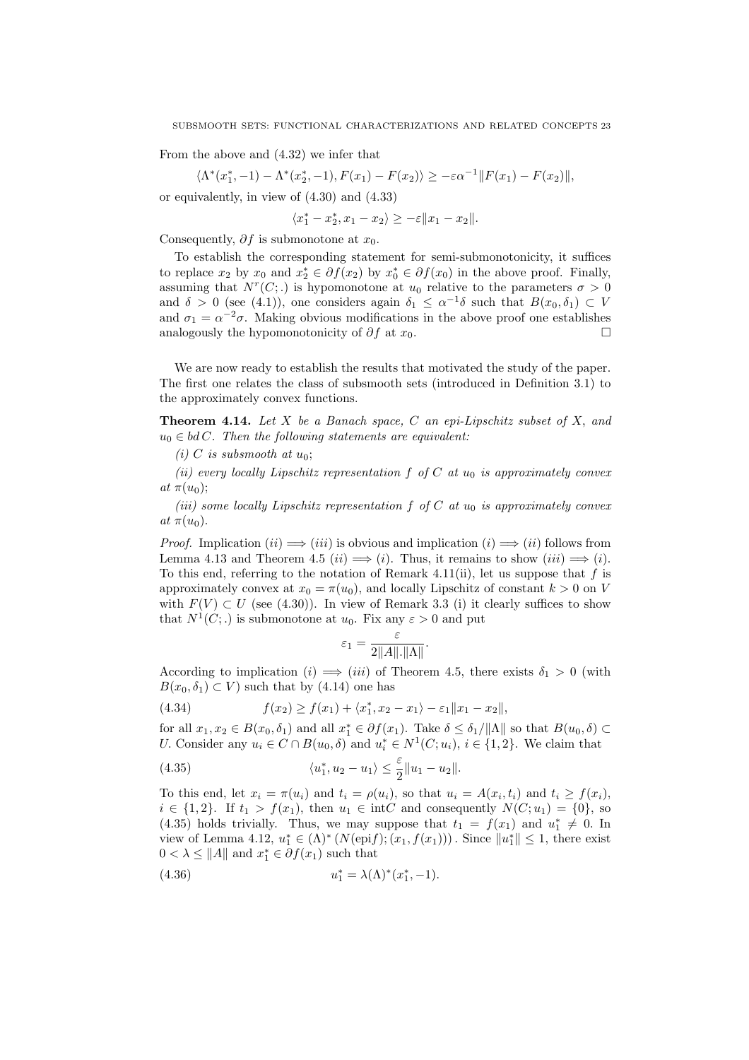From the above and (4.32) we infer that

$$
\langle \Lambda^*(x_1^*, -1) - \Lambda^*(x_2^*, -1), F(x_1) - F(x_2) \rangle \ge -\varepsilon \alpha^{-1} ||F(x_1) - F(x_2)||,
$$

or equivalently, in view of (4.30) and (4.33)

$$
\langle x_1^*-x_2^*, x_1-x_2\rangle \ge -\varepsilon ||x_1-x_2||.
$$

Consequently,  $\partial f$  is submonotone at  $x_0$ .

To establish the corresponding statement for semi-submonotonicity, it suffices to replace  $x_2$  by  $x_0$  and  $x_2^* \in \partial f(x_2)$  by  $x_0^* \in \partial f(x_0)$  in the above proof. Finally, assuming that  $N^r(C;.)$  is hypomonotone at  $u_0$  relative to the parameters  $\sigma > 0$ and  $\delta > 0$  (see (4.1)), one considers again  $\delta_1 \leq \alpha^{-1}\delta$  such that  $B(x_0, \delta_1) \subset V$ and  $\sigma_1 = \alpha^{-2}\sigma$ . Making obvious modifications in the above proof one establishes analogously the hypomonotonicity of  $\partial f$  at  $x_0$ .  $\Box$ 

We are now ready to establish the results that motivated the study of the paper. The first one relates the class of subsmooth sets (introduced in Definition 3.1) to the approximately convex functions.

**Theorem 4.14.** Let  $X$  be a Banach space,  $C$  an epi-Lipschitz subset of  $X$ , and  $u_0 \in bd C$ . Then the following statements are equivalent:

(i) C is subsmooth at  $u_0$ ;

(ii) every locally Lipschitz representation  $f$  of  $C$  at  $u_0$  is approximately convex at  $\pi(u_0)$ ;

(iii) some locally Lipschitz representation  $f$  of  $C$  at  $u_0$  is approximately convex  $at \pi(u_0)$ .

*Proof.* Implication  $(ii) \implies (iii)$  is obvious and implication  $(i) \implies (ii)$  follows from Lemma 4.13 and Theorem 4.5 (ii)  $\implies$  (i). Thus, it remains to show (iii)  $\implies$  (i). To this end, referring to the notation of Remark 4.11(ii), let us suppose that  $f$  is approximately convex at  $x_0 = \pi(u_0)$ , and locally Lipschitz of constant  $k > 0$  on V with  $F(V) \subset U$  (see (4.30)). In view of Remark 3.3 (i) it clearly suffices to show that  $N^1(C;.)$  is submonotone at  $u_0$ . Fix any  $\varepsilon > 0$  and put

$$
\varepsilon_1 = \frac{\varepsilon}{2||A||.||\Lambda||}.
$$

According to implication (i)  $\implies$  (iii) of Theorem 4.5, there exists  $\delta_1 > 0$  (with  $B(x_0, \delta_1) \subset V$  such that by (4.14) one has

(4.34) 
$$
f(x_2) \ge f(x_1) + \langle x_1^*, x_2 - x_1 \rangle - \varepsilon_1 \| x_1 - x_2 \|,
$$

for all  $x_1, x_2 \in B(x_0, \delta_1)$  and all  $x_1^* \in \partial f(x_1)$ . Take  $\delta \leq \delta_1 / ||\Lambda||$  so that  $B(u_0, \delta) \subset$ U. Consider any  $u_i \in C \cap B(u_0, \delta)$  and  $u_i^* \in N^1(C; u_i)$ ,  $i \in \{1, 2\}$ . We claim that

(4.35) 
$$
\langle u_1^*, u_2 - u_1 \rangle \leq \frac{\varepsilon}{2} ||u_1 - u_2||.
$$

To this end, let  $x_i = \pi(u_i)$  and  $t_i = \rho(u_i)$ , so that  $u_i = A(x_i, t_i)$  and  $t_i \ge f(x_i)$ ,  $i \in \{1,2\}$ . If  $t_1 > f(x_1)$ , then  $u_1 \in \text{int}C$  and consequently  $N(C; u_1) = \{0\}$ , so (4.35) holds trivially. Thus, we may suppose that  $t_1 = f(x_1)$  and  $u_1^* \neq 0$ . In view of Lemma 4.12,  $u_1^* \in (\Lambda)^* (N(\text{epi} f); (x_1, f(x_1)))$ . Since  $||u_1^*|| \leq 1$ , there exist  $0 < \lambda \le ||A||$  and  $x_1^* \in \partial f(x_1)$  such that

(4.36) 
$$
u_1^* = \lambda(\Lambda)^*(x_1^*, -1).
$$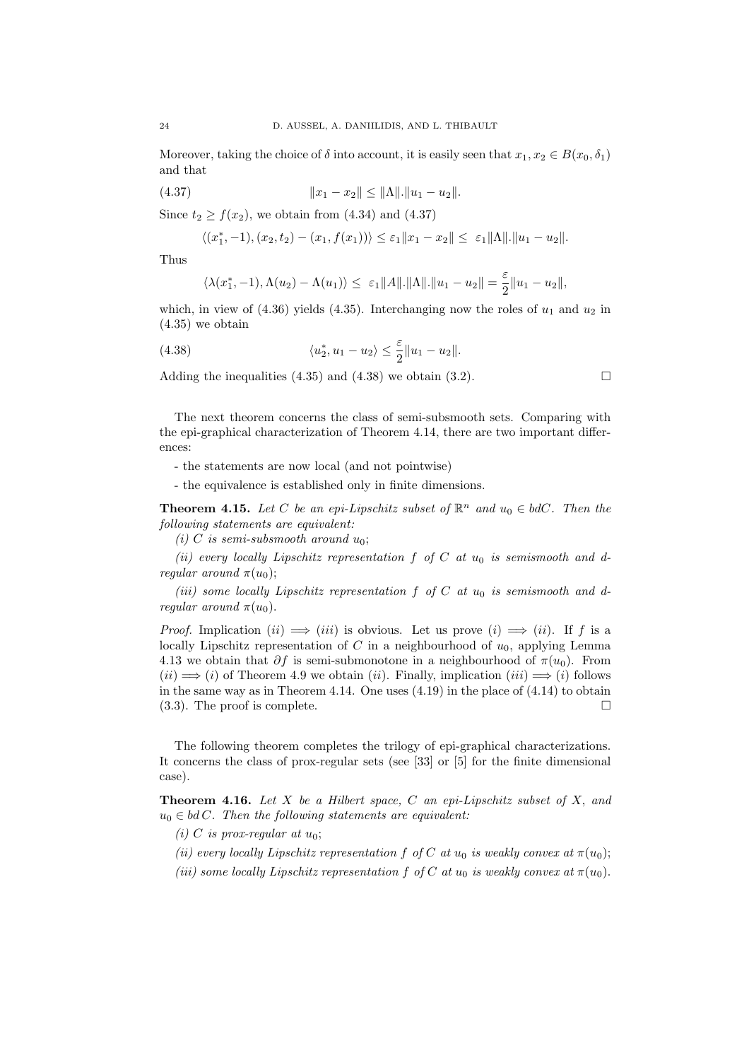Moreover, taking the choice of  $\delta$  into account, it is easily seen that  $x_1, x_2 \in B(x_0, \delta_1)$ and that

$$
(4.37) \t\t\t ||x_1 - x_2|| \le ||\Lambda|| \cdot ||u_1 - u_2||.
$$

Since  $t_2 \ge f(x_2)$ , we obtain from (4.34) and (4.37)

$$
\langle (x_1^*, -1), (x_2, t_2) - (x_1, f(x_1)) \rangle \le \varepsilon_1 ||x_1 - x_2|| \le \varepsilon_1 ||\Lambda|| \cdot ||u_1 - u_2||.
$$

Thus

$$
\langle \lambda(x_1^*, -1), \Lambda(u_2) - \Lambda(u_1) \rangle \le \varepsilon_1 ||A||.||\Lambda||.||u_1 - u_2|| = \frac{\varepsilon}{2} ||u_1 - u_2||,
$$

which, in view of  $(4.36)$  yields  $(4.35)$ . Interchanging now the roles of  $u_1$  and  $u_2$  in (4.35) we obtain

(4.38) 
$$
\langle u_2^*, u_1 - u_2 \rangle \leq \frac{\varepsilon}{2} ||u_1 - u_2||.
$$

Adding the inequalities (4.35) and (4.38) we obtain (3.2).  $\Box$ 

The next theorem concerns the class of semi-subsmooth sets. Comparing with the epi-graphical characterization of Theorem 4.14, there are two important differences:

- the statements are now local (and not pointwise)
- the equivalence is established only in finite dimensions.

**Theorem 4.15.** Let C be an epi-Lipschitz subset of  $\mathbb{R}^n$  and  $u_0 \in bdC$ . Then the following statements are equivalent:

(i) C is semi-subsmooth around  $u_0$ ;

(ii) every locally Lipschitz representation  $f$  of  $C$  at  $u_0$  is semismooth and dregular around  $\pi(u_0)$ ;

(iii) some locally Lipschitz representation f of C at  $u_0$  is semismooth and dregular around  $\pi(u_0)$ .

*Proof.* Implication  $(ii) \implies (iii)$  is obvious. Let us prove  $(i) \implies (ii)$ . If f is a locally Lipschitz representation of C in a neighbourhood of  $u_0$ , applying Lemma 4.13 we obtain that  $\partial f$  is semi-submonotone in a neighbourhood of  $\pi(u_0)$ . From  $(ii) \implies (i)$  of Theorem 4.9 we obtain  $(ii)$ . Finally, implication  $(iii) \implies (i)$  follows in the same way as in Theorem 4.14. One uses  $(4.19)$  in the place of  $(4.14)$  to obtain  $(3.3)$ . The proof is complete.

The following theorem completes the trilogy of epi-graphical characterizations. It concerns the class of prox-regular sets (see [33] or [5] for the finite dimensional case).

**Theorem 4.16.** Let X be a Hilbert space, C an epi-Lipschitz subset of X, and  $u_0 \in bd C$ . Then the following statements are equivalent:

- (i) C is prox-regular at  $u_0$ ;
- (ii) every locally Lipschitz representation f of C at  $u_0$  is weakly convex at  $\pi(u_0)$ ;
- (iii) some locally Lipschitz representation f of C at  $u_0$  is weakly convex at  $\pi(u_0)$ .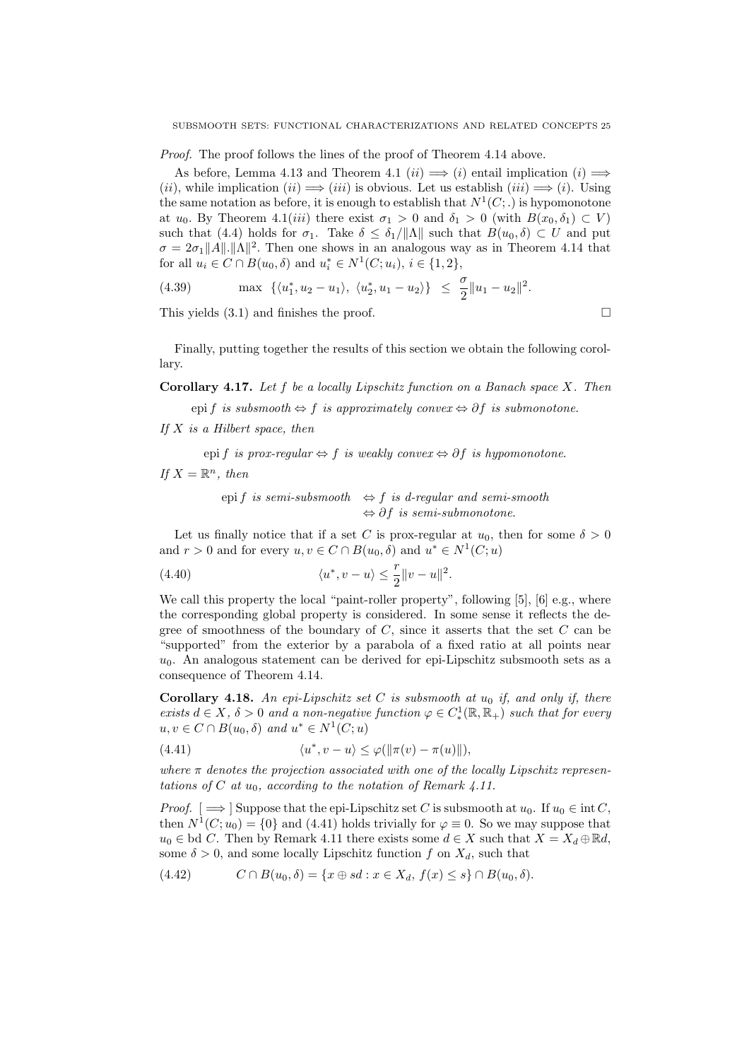Proof. The proof follows the lines of the proof of Theorem 4.14 above.

As before, Lemma 4.13 and Theorem 4.1  $(ii) \implies (i)$  entail implication  $(i) \implies$ (ii), while implication (ii)  $\implies$  (iii) is obvious. Let us establish (iii)  $\implies$  (i). Using the same notation as before, it is enough to establish that  $N^1(C;.)$  is hypomonotone at  $u_0$ . By Theorem 4.1(*iii*) there exist  $\sigma_1 > 0$  and  $\delta_1 > 0$  (with  $B(x_0, \delta_1) \subset V$ ) such that (4.4) holds for  $\sigma_1$ . Take  $\delta \leq \delta_1/\|\Lambda\|$  such that  $B(u_0, \delta) \subset U$  and put  $\sigma = 2\sigma_1 ||A||.||A||^2$ . Then one shows in an analogous way as in Theorem 4.14 that for all  $u_i \in C \cap B(u_0, \delta)$  and  $u_i^* \in N^1(C; u_i)$ ,  $i \in \{1, 2\}$ ,

(4.39) 
$$
\max \ \{ \langle u_1^*, u_2 - u_1 \rangle, \ \langle u_2^*, u_1 - u_2 \rangle \} \ \leq \ \frac{\sigma}{2} \| u_1 - u_2 \|^2.
$$

This yields  $(3.1)$  and finishes the proof.  $\Box$ 

Finally, putting together the results of this section we obtain the following corollary.

**Corollary 4.17.** Let  $f$  be a locally Lipschitz function on a Banach space  $X$ . Then

epi f is subsmooth  $\Leftrightarrow$  f is approximately convex  $\Leftrightarrow$  ∂f is submonotone.

If  $X$  is a Hilbert space, then

epi f is prox-regular  $\Leftrightarrow$  f is weakly convex  $\Leftrightarrow$  ∂f is hypomonotone.

If  $X = \mathbb{R}^n$ , then

epi f is semi-subsmooth  $\Leftrightarrow$  f is d-regular and semi-smooth  $\Leftrightarrow$  ∂f is semi-submonotone.

Let us finally notice that if a set C is prox-regular at  $u_0$ , then for some  $\delta > 0$ and  $r > 0$  and for every  $u, v \in C \cap B(u_0, \delta)$  and  $u^* \in N^1(C; u)$ 

.

(4.40) 
$$
\langle u^*, v - u \rangle \leq \frac{r}{2} ||v - u||^2
$$

We call this property the local "paint-roller property", following [5], [6] e.g., where the corresponding global property is considered. In some sense it reflects the degree of smoothness of the boundary of  $C$ , since it asserts that the set  $C$  can be "supported" from the exterior by a parabola of a fixed ratio at all points near  $u_0$ . An analogous statement can be derived for epi-Lipschitz subsmooth sets as a consequence of Theorem 4.14.

**Corollary 4.18.** An epi-Lipschitz set C is subsmooth at  $u_0$  if, and only if, there exists  $d \in X$ ,  $\delta > 0$  and a non-negative function  $\varphi \in C^1_*(\mathbb{R}, \mathbb{R}_+)$  such that for every  $u, v \in C \cap B(u_0, \delta)$  and  $u^* \in N^1(C; u)$ 

(4.41) 
$$
\langle u^*, v - u \rangle \leq \varphi(||\pi(v) - \pi(u)||),
$$

where  $\pi$  denotes the projection associated with one of the locally Lipschitz representations of C at  $u_0$ , according to the notation of Remark 4.11.

*Proof.*  $[\implies]$  Suppose that the epi-Lipschitz set C is subsmooth at  $u_0$ . If  $u_0 \in \text{int } C$ , then  $N^{\mathfrak{1}}(C; u_0) = \{0\}$  and (4.41) holds trivially for  $\varphi \equiv 0$ . So we may suppose that  $u_0 \in \text{bd } C$ . Then by Remark 4.11 there exists some  $d \in X$  such that  $X = X_d \oplus \mathbb{R}d$ , some  $\delta > 0$ , and some locally Lipschitz function f on  $X_d$ , such that

$$
(4.42) \qquad C \cap B(u_0, \delta) = \{x \oplus sd : x \in X_d, \, f(x) \le s\} \cap B(u_0, \delta).
$$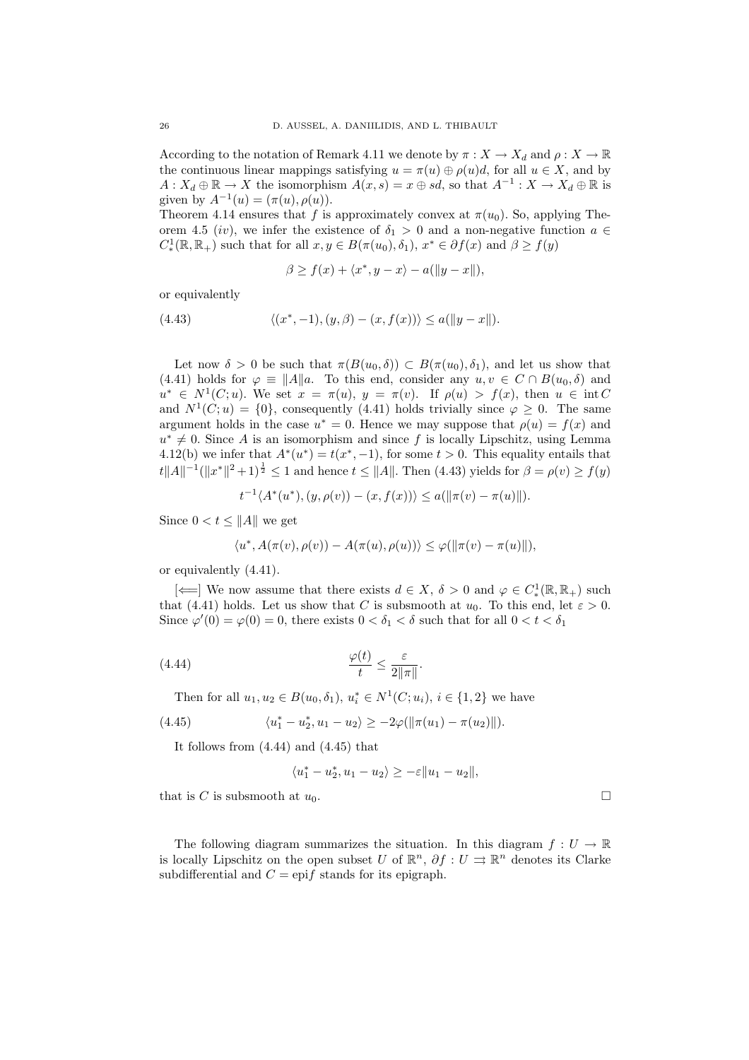According to the notation of Remark 4.11 we denote by  $\pi : X \to X_d$  and  $\rho : X \to \mathbb{R}$ the continuous linear mappings satisfying  $u = \pi(u) \oplus \rho(u)d$ , for all  $u \in X$ , and by  $A: X_d \oplus \mathbb{R} \to X$  the isomorphism  $A(x, s) = x \oplus sd$ , so that  $A^{-1}: X \to X_d \oplus \mathbb{R}$  is given by  $A^{-1}(u) = (\pi(u), \rho(u)).$ 

Theorem 4.14 ensures that f is approximately convex at  $\pi(u_0)$ . So, applying Theorem 4.5 (iv), we infer the existence of  $\delta_1 > 0$  and a non-negative function  $a \in$  $C^1_*(\mathbb{R}, \mathbb{R}_+)$  such that for all  $x, y \in B(\pi(u_0), \delta_1), x^* \in \partial f(x)$  and  $\beta \ge f(y)$ 

$$
\beta \ge f(x) + \langle x^*, y - x \rangle - a(||y - x||),
$$

or equivalently

(4.43) 
$$
\langle (x^*, -1), (y, \beta) - (x, f(x)) \rangle \le a(||y - x||).
$$

Let now  $\delta > 0$  be such that  $\pi(B(u_0, \delta)) \subset B(\pi(u_0), \delta_1)$ , and let us show that (4.41) holds for  $\varphi \equiv ||A||a$ . To this end, consider any  $u, v \in C \cap B(u_0, \delta)$  and  $u^* \in N^1(C; u)$ . We set  $x = \pi(u), y = \pi(v)$ . If  $\rho(u) > f(x)$ , then  $u \in \text{int } C$ and  $N^1(C; u) = \{0\}$ , consequently (4.41) holds trivially since  $\varphi \geq 0$ . The same argument holds in the case  $u^* = 0$ . Hence we may suppose that  $\rho(u) = f(x)$  and  $u^* \neq 0$ . Since A is an isomorphism and since f is locally Lipschitz, using Lemma 4.12(b) we infer that  $A^*(u^*) = t(x^*, -1)$ , for some  $t > 0$ . This equality entails that  $t||A||^{-1}(||x^*||^2+1)^{\frac{1}{2}} \leq 1$  and hence  $t \leq ||A||$ . Then (4.43) yields for  $\beta = \rho(v) \geq f(y)$ 

$$
t^{-1} \langle A^*(u^*), (y, \rho(v)) - (x, f(x)) \rangle \le a(\|\pi(v) - \pi(u)\|).
$$

Since  $0 < t \leq ||A||$  we get

$$
\langle u^*, A(\pi(v), \rho(v)) - A(\pi(u), \rho(u)) \rangle \leq \varphi(||\pi(v) - \pi(u)||),
$$

or equivalently (4.41).

 $\left[$  ∈  $\right]$  We now assume that there exists  $d \in X$ ,  $\delta > 0$  and  $\varphi \in C^1_*(\mathbb{R}, \mathbb{R}_+)$  such that (4.41) holds. Let us show that C is subsmooth at  $u_0$ . To this end, let  $\varepsilon > 0$ . Since  $\varphi'(0) = \varphi(0) = 0$ , there exists  $0 < \delta_1 < \delta$  such that for all  $0 < t < \delta_1$ 

$$
\frac{\varphi(t)}{t} \le \frac{\varepsilon}{2\|\pi\|}.
$$

Then for all  $u_1, u_2 \in B(u_0, \delta_1), u_i^* \in N^1(C; u_i), i \in \{1, 2\}$  we have

(4.45) 
$$
\langle u_1^* - u_2^*, u_1 - u_2 \rangle \ge -2\varphi(\|\pi(u_1) - \pi(u_2)\|).
$$

It follows from (4.44) and (4.45) that

$$
\langle u_1^*-u_2^*,u_1-u_2\rangle\geq -\varepsilon\|u_1-u_2\|,
$$

that is C is subsmooth at  $u_0$ .

The following diagram summarizes the situation. In this diagram  $f: U \to \mathbb{R}$ is locally Lipschitz on the open subset U of  $\mathbb{R}^n$ ,  $\partial f: U \rightrightarrows \mathbb{R}^n$  denotes its Clarke subdifferential and  $C = \text{epi} f$  stands for its epigraph.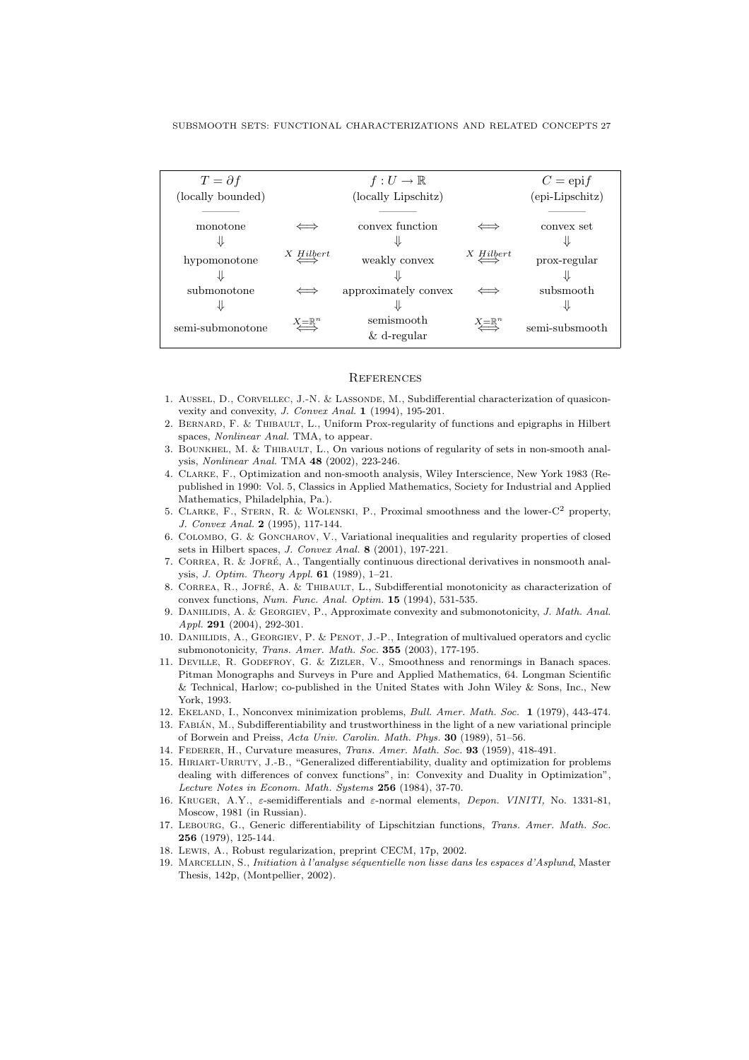| $T = \partial f$  |                  | $f:U\to\mathbb{R}$           |                  | $C = \text{epi}f$ |
|-------------------|------------------|------------------------------|------------------|-------------------|
| (locally bounded) |                  | (epi-Lipschitz)              |                  |                   |
|                   |                  |                              |                  |                   |
| monotone          |                  | convex function              |                  | convex set        |
|                   |                  |                              |                  |                   |
| hypomonotone      | X Hilbert        | weakly convex                | X Hilbert        | prox-regular      |
|                   |                  |                              |                  |                   |
| submonotone       |                  | approximately convex         |                  | subsmooth         |
|                   |                  |                              |                  |                   |
| semi-submonotone  | $X=\mathbb{R}^n$ | semismooth<br>$\&$ d-regular | $X=\mathbb{R}^n$ | semi-subsmooth    |

### **REFERENCES**

- 1. AUSSEL, D., CORVELLEC, J.-N. & LASSONDE, M., Subdifferential characterization of quasiconvexity and convexity, J. Convex Anal. 1 (1994), 195-201.
- 2. Bernard, F. & Thibault, L., Uniform Prox-regularity of functions and epigraphs in Hilbert spaces, Nonlinear Anal. TMA, to appear.
- 3. Bounkhel, M. & Thibault, L., On various notions of regularity of sets in non-smooth analysis, Nonlinear Anal. TMA 48 (2002), 223-246.
- 4. Clarke, F., Optimization and non-smooth analysis, Wiley Interscience, New York 1983 (Republished in 1990: Vol. 5, Classics in Applied Mathematics, Society for Industrial and Applied Mathematics, Philadelphia, Pa.).
- 5. Clarke, F., Stern, R. & Wolenski, P., Proximal smoothness and the lower-C<sup>2</sup> property, J. Convex Anal. 2 (1995), 117-144.
- 6. Colombo, G. & Goncharov, V., Variational inequalities and regularity properties of closed sets in Hilbert spaces, J. Convex Anal. 8 (2001), 197-221.
- 7. Correa, R. & Jofre, A., ´ Tangentially continuous directional derivatives in nonsmooth analysis, J. Optim. Theory Appl. 61 (1989), 1–21.
- 8. CORREA, R., JOFRÉ, A. & THIBAULT, L., Subdifferential monotonicity as characterization of convex functions, Num. Func. Anal. Optim. 15 (1994), 531-535.
- 9. DANIILIDIS, A. & GEORGIEV, P., Approximate convexity and submonotonicity, J. Math. Anal. Appl. 291 (2004), 292-301.
- 10. DANIILIDIS, A., GEORGIEV, P. & PENOT, J.-P., Integration of multivalued operators and cyclic submonotonicity, Trans. Amer. Math. Soc. 355 (2003), 177-195.
- 11. Deville, R. Godefroy, G. & Zizler, V., Smoothness and renormings in Banach spaces. Pitman Monographs and Surveys in Pure and Applied Mathematics, 64. Longman Scientific & Technical, Harlow; co-published in the United States with John Wiley & Sons, Inc., New York, 1993.
- 12. Ekeland, I., Nonconvex minimization problems, Bull. Amer. Math. Soc. 1 (1979), 443-474.
- 13. FABIÁN, M., Subdifferentiability and trustworthiness in the light of a new variational principle of Borwein and Preiss, Acta Univ. Carolin. Math. Phys. 30 (1989), 51–56.
- 14. Federer, H., Curvature measures, Trans. Amer. Math. Soc. 93 (1959), 418-491.
- 15. Hiriart-Urruty, J.-B., "Generalized differentiability, duality and optimization for problems dealing with differences of convex functions", in: Convexity and Duality in Optimization", Lecture Notes in Econom. Math. Systems 256 (1984), 37-70.
- 16. Kruger, A.Y., ε-semidifferentials and ε-normal elements, Depon. VINITI, No. 1331-81, Moscow, 1981 (in Russian).
- 17. LEBOURG, G., Generic differentiability of Lipschitzian functions, Trans. Amer. Math. Soc. 256 (1979), 125-144.
- 18. Lewis, A., Robust regularization, preprint CECM, 17p, 2002.
- 19. MARCELLIN, S., Initiation à l'analyse séquentielle non lisse dans les espaces d'Asplund, Master Thesis, 142p, (Montpellier, 2002).